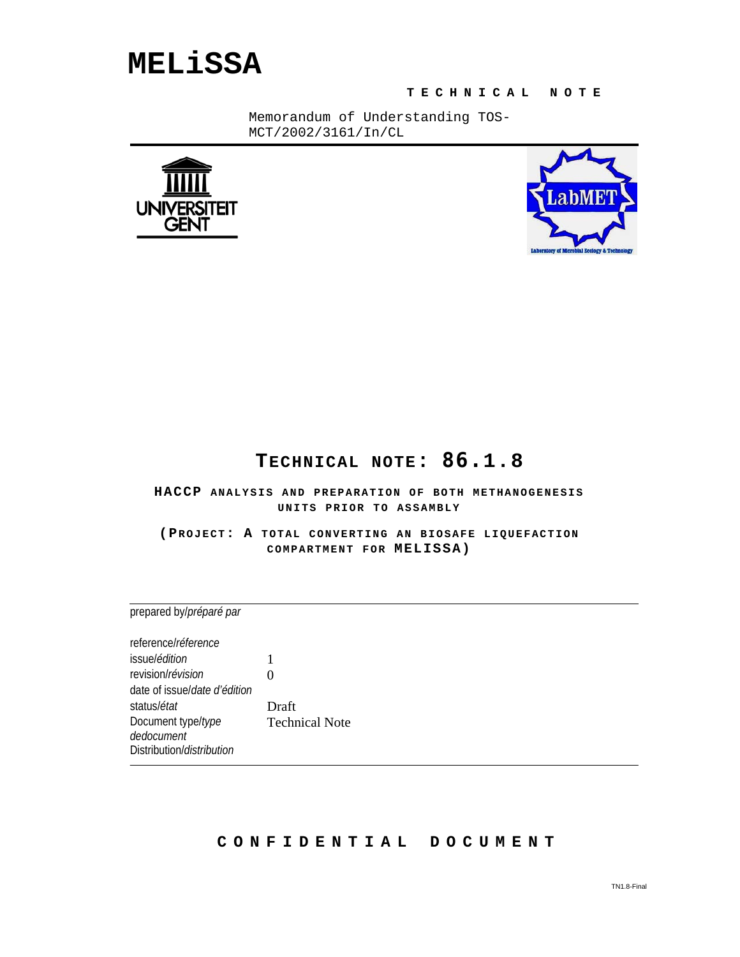# **MELiSSA**

**T ECHNICAL NOTE**

Memorandum of Understanding TOS-MCT/2002/3161/In/CL





## **TECHNICAL NOTE: 86.1.8**

**HACCP ANALYSIS AND PREPARATION OF BOTH METHANOGENESIS UNITS PRIOR TO ASSAMBLY**

**(PROJECT: A TOTAL CONVERTING AN BIOSAFE LIQUEFACTION COMPARTMENT FOR MELISSA)** 

prepared by/*préparé par*

reference/*réference* issue/*édition* 1 revision/*révision* 0 date of issue/*date d'édition* status/*état* Draft Document type/*type dedocument* Technical Note Distribution/*distribution*

### **CONFIDENTIAL DOCUMENT**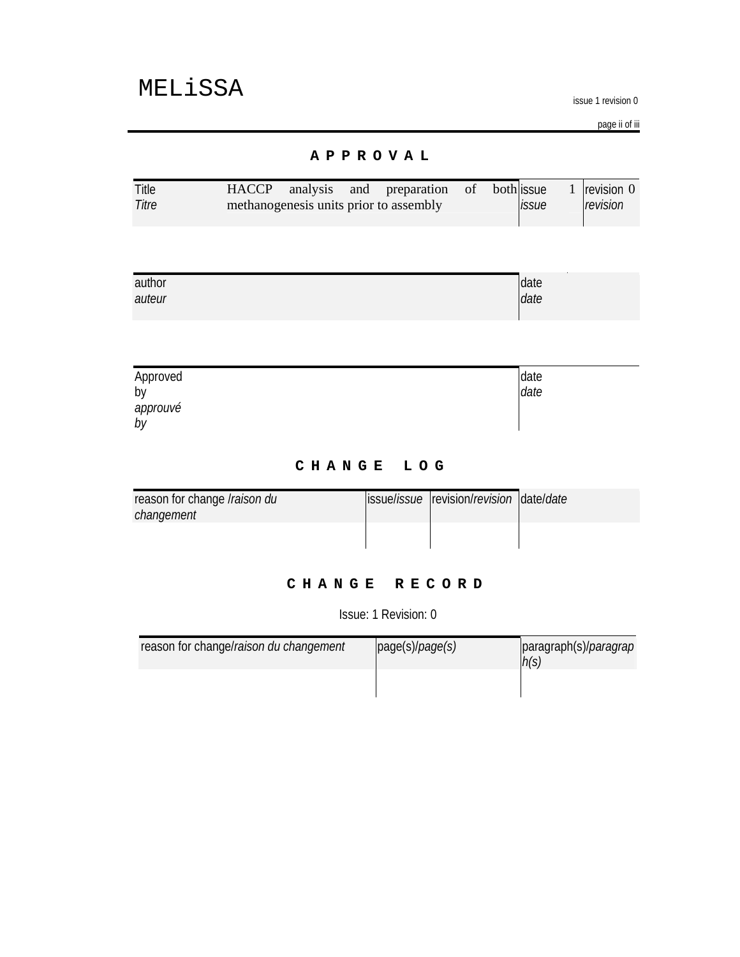issue 1 revision 0

page ii of iii

### **APPROVAL**

| Title | <b>HACCP</b> |  | analysis and preparation               | $\circ$ of | bothlissue |                     | 1 $revision 0$ |
|-------|--------------|--|----------------------------------------|------------|------------|---------------------|----------------|
| Titre |              |  | methanogenesis units prior to assembly |            |            | <i><b>issue</b></i> | revision       |
|       |              |  |                                        |            |            |                     |                |

| author | date |
|--------|------|
| auteur | date |
|        |      |

| Approved       | date |
|----------------|------|
| by             | date |
| approuvé<br>by |      |

### **CHANGE LOG**

| reason for change <i>Iraison du</i> | ssuelissue revision/revision date/date |  |
|-------------------------------------|----------------------------------------|--|
| changement                          |                                        |  |
|                                     |                                        |  |
|                                     |                                        |  |

### **CHANGE RECORD**

Issue: 1 Revision: 0

| reason for change/raison du changement | page(s)/page(s) | paragraph(s)/ <i>paragrap</i><br>h(s) |
|----------------------------------------|-----------------|---------------------------------------|
|                                        |                 |                                       |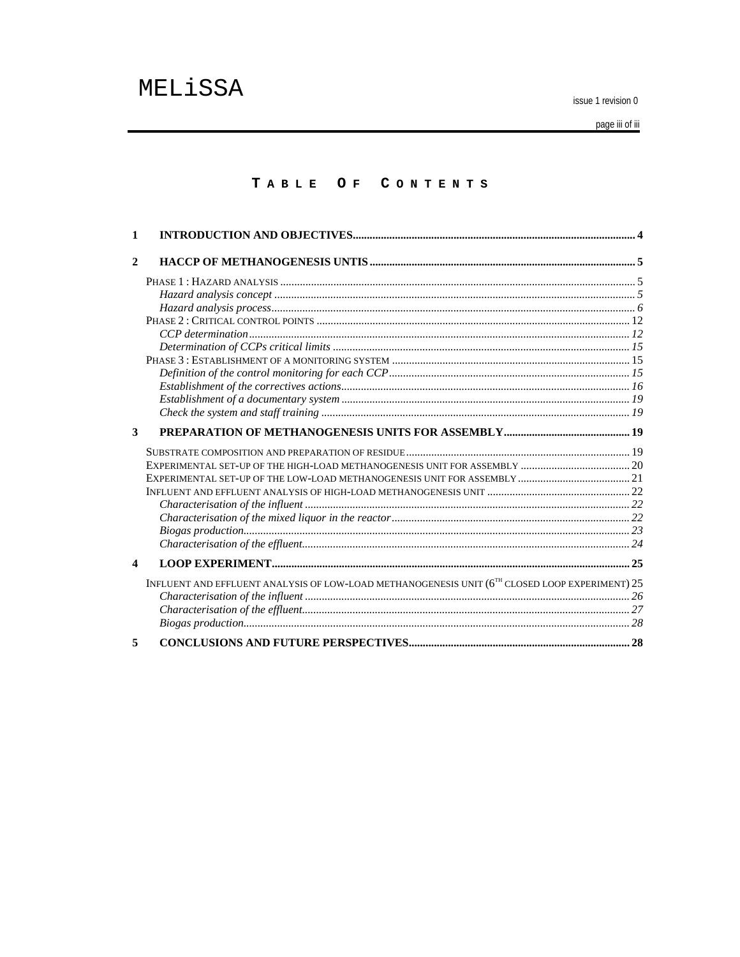issue 1 revision 0

page iii of iii

### TABLE OF CONTENTS

| 1                |                                                                                                |  |
|------------------|------------------------------------------------------------------------------------------------|--|
| $\overline{2}$   |                                                                                                |  |
|                  |                                                                                                |  |
|                  |                                                                                                |  |
|                  |                                                                                                |  |
|                  |                                                                                                |  |
|                  |                                                                                                |  |
|                  |                                                                                                |  |
|                  |                                                                                                |  |
|                  |                                                                                                |  |
|                  |                                                                                                |  |
|                  |                                                                                                |  |
|                  |                                                                                                |  |
| 3                |                                                                                                |  |
|                  |                                                                                                |  |
|                  |                                                                                                |  |
|                  |                                                                                                |  |
|                  |                                                                                                |  |
|                  |                                                                                                |  |
|                  |                                                                                                |  |
|                  |                                                                                                |  |
|                  |                                                                                                |  |
| $\boldsymbol{4}$ |                                                                                                |  |
|                  | INFLUENT AND EFFLUENT ANALYSIS OF LOW-LOAD METHANOGENESIS UNIT (6TH CLOSED LOOP EXPERIMENT) 25 |  |
|                  |                                                                                                |  |
|                  |                                                                                                |  |
|                  |                                                                                                |  |
| 5                |                                                                                                |  |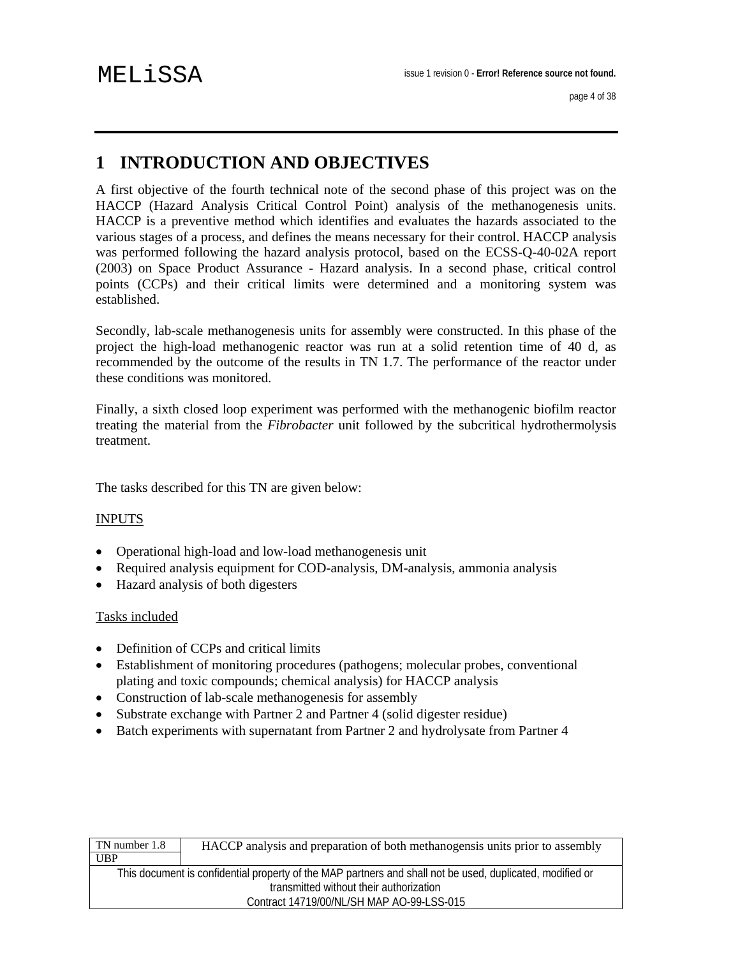## **1 INTRODUCTION AND OBJECTIVES**

A first objective of the fourth technical note of the second phase of this project was on the HACCP (Hazard Analysis Critical Control Point) analysis of the methanogenesis units. HACCP is a preventive method which identifies and evaluates the hazards associated to the various stages of a process, and defines the means necessary for their control. HACCP analysis was performed following the hazard analysis protocol, based on the ECSS-Q-40-02A report (2003) on Space Product Assurance - Hazard analysis. In a second phase, critical control points (CCPs) and their critical limits were determined and a monitoring system was established.

Secondly, lab-scale methanogenesis units for assembly were constructed. In this phase of the project the high-load methanogenic reactor was run at a solid retention time of 40 d, as recommended by the outcome of the results in TN 1.7. The performance of the reactor under these conditions was monitored.

Finally, a sixth closed loop experiment was performed with the methanogenic biofilm reactor treating the material from the *Fibrobacter* unit followed by the subcritical hydrothermolysis treatment.

The tasks described for this TN are given below:

#### INPUTS

- Operational high-load and low-load methanogenesis unit
- Required analysis equipment for COD-analysis, DM-analysis, ammonia analysis
- Hazard analysis of both digesters

#### Tasks included

- Definition of CCPs and critical limits
- Establishment of monitoring procedures (pathogens; molecular probes, conventional plating and toxic compounds; chemical analysis) for HACCP analysis
- Construction of lab-scale methanogenesis for assembly
- Substrate exchange with Partner 2 and Partner 4 (solid digester residue)
- Batch experiments with supernatant from Partner 2 and hydrolysate from Partner 4

| TN number 1.8                                                                                             | HACCP analysis and preparation of both methanogensis units prior to assembly |  |  |
|-----------------------------------------------------------------------------------------------------------|------------------------------------------------------------------------------|--|--|
| <b>UBP</b>                                                                                                |                                                                              |  |  |
| This document is confidential property of the MAP partners and shall not be used, duplicated, modified or |                                                                              |  |  |
|                                                                                                           | transmitted without their authorization                                      |  |  |
|                                                                                                           | Contract 14719/00/NL/SH MAP AO-99-LSS-015                                    |  |  |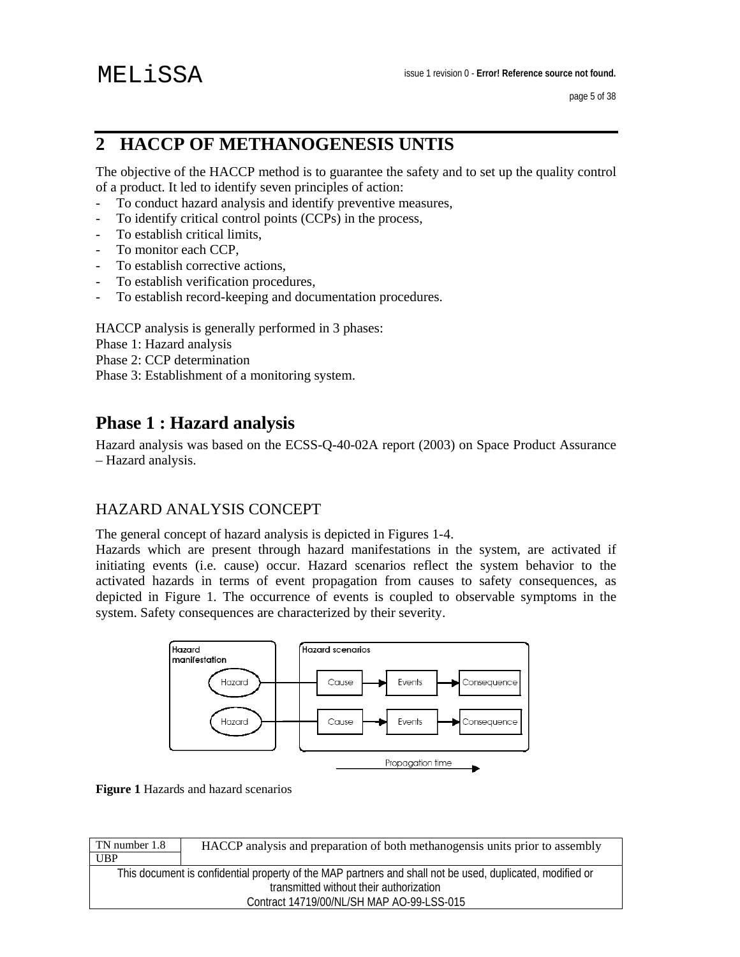## **2 HACCP OF METHANOGENESIS UNTIS**

The objective of the HACCP method is to guarantee the safety and to set up the quality control of a product. It led to identify seven principles of action:

- To conduct hazard analysis and identify preventive measures,
- To identify critical control points (CCPs) in the process,
- To establish critical limits,
- To monitor each CCP,
- To establish corrective actions,<br>- To establish verification proced
- To establish verification procedures,
- To establish record-keeping and documentation procedures.

HACCP analysis is generally performed in 3 phases:

- Phase 1: Hazard analysis
- Phase 2: CCP determination

Phase 3: Establishment of a monitoring system.

## **Phase 1 : Hazard analysis**

Hazard analysis was based on the ECSS-Q-40-02A report (2003) on Space Product Assurance – Hazard analysis.

## HAZARD ANALYSIS CONCEPT

The general concept of hazard analysis is depicted in Figures 1-4.

Hazards which are present through hazard manifestations in the system, are activated if initiating events (i.e. cause) occur. Hazard scenarios reflect the system behavior to the activated hazards in terms of event propagation from causes to safety consequences, as depicted in Figure 1. The occurrence of events is coupled to observable symptoms in the system. Safety consequences are characterized by their severity.



**Figure 1** Hazards and hazard scenarios

| TN number 1.8 | HACCP analysis and preparation of both methanogensis units prior to assembly                              |
|---------------|-----------------------------------------------------------------------------------------------------------|
| <b>UBP</b>    |                                                                                                           |
|               | This document is confidential property of the MAP partners and shall not be used, duplicated, modified or |
|               | transmitted without their authorization                                                                   |
|               | Contract 14719/00/NL/SH MAP AO-99-LSS-015                                                                 |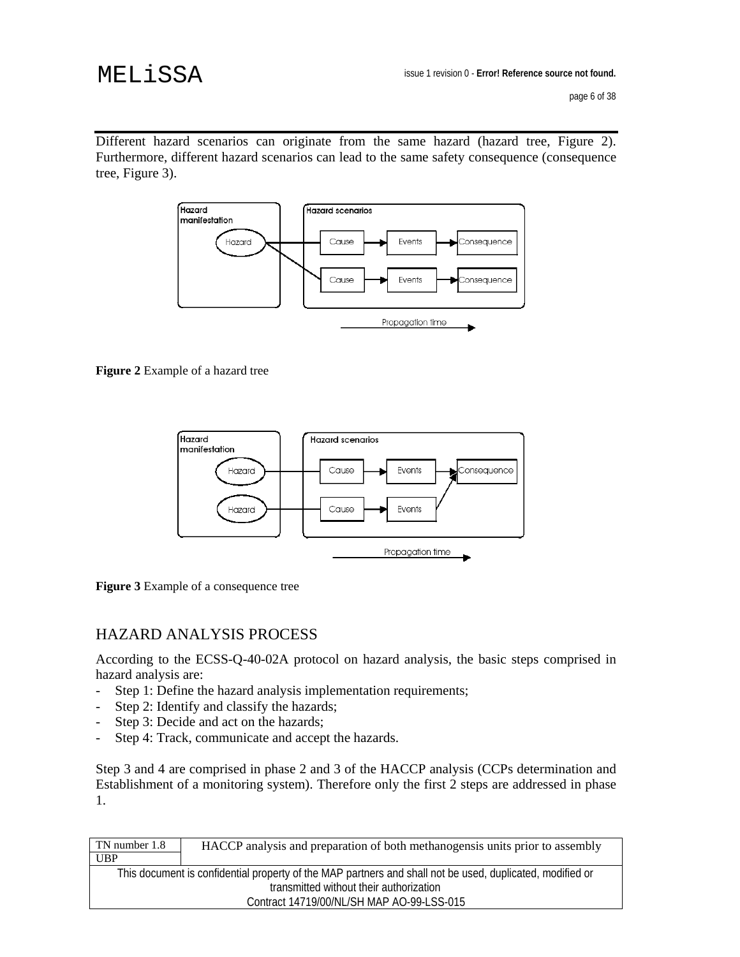Different hazard scenarios can originate from the same hazard (hazard tree, Figure 2). Furthermore, different hazard scenarios can lead to the same safety consequence (consequence tree, Figure 3).



**Figure 2** Example of a hazard tree



**Figure 3** Example of a consequence tree

### HAZARD ANALYSIS PROCESS

According to the ECSS-Q-40-02A protocol on hazard analysis, the basic steps comprised in hazard analysis are:

- Step 1: Define the hazard analysis implementation requirements;
- Step 2: Identify and classify the hazards;
- Step 3: Decide and act on the hazards;
- Step 4: Track, communicate and accept the hazards.

Step 3 and 4 are comprised in phase 2 and 3 of the HACCP analysis (CCPs determination and Establishment of a monitoring system). Therefore only the first 2 steps are addressed in phase 1.

| TN number 1.8 | HACCP analysis and preparation of both methanogensis units prior to assembly                              |
|---------------|-----------------------------------------------------------------------------------------------------------|
| <b>UBP</b>    |                                                                                                           |
|               | This document is confidential property of the MAP partners and shall not be used, duplicated, modified or |
|               | transmitted without their authorization                                                                   |
|               | Contract 14719/00/NL/SH MAP AO-99-LSS-015                                                                 |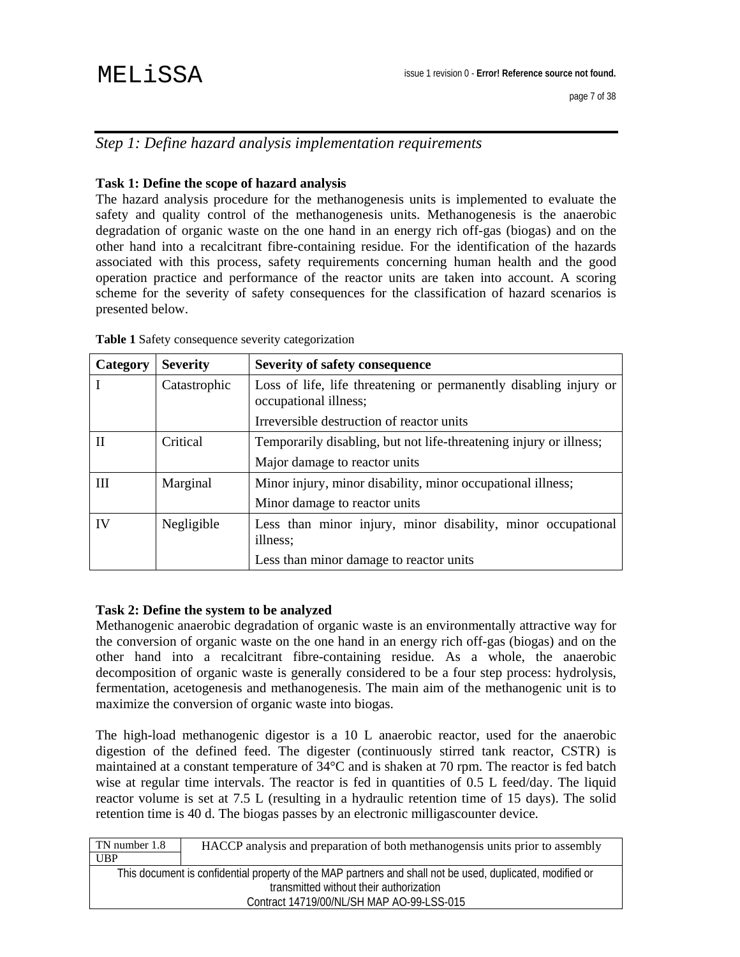### *Step 1: Define hazard analysis implementation requirements*

### **Task 1: Define the scope of hazard analysis**

The hazard analysis procedure for the methanogenesis units is implemented to evaluate the safety and quality control of the methanogenesis units. Methanogenesis is the anaerobic degradation of organic waste on the one hand in an energy rich off-gas (biogas) and on the other hand into a recalcitrant fibre-containing residue. For the identification of the hazards associated with this process, safety requirements concerning human health and the good operation practice and performance of the reactor units are taken into account. A scoring scheme for the severity of safety consequences for the classification of hazard scenarios is presented below.

| Category | <b>Severity</b> | <b>Severity of safety consequence</b>                                                      |  |
|----------|-----------------|--------------------------------------------------------------------------------------------|--|
|          | Catastrophic    | Loss of life, life threatening or permanently disabling injury or<br>occupational illness; |  |
|          |                 | Irreversible destruction of reactor units                                                  |  |
|          | Critical        | Temporarily disabling, but not life-threatening injury or illness;                         |  |
|          |                 | Major damage to reactor units                                                              |  |
| Ш        | Marginal        | Minor injury, minor disability, minor occupational illness;                                |  |
|          |                 | Minor damage to reactor units                                                              |  |
| IV       | Negligible      | Less than minor injury, minor disability, minor occupational<br>illness;                   |  |
|          |                 | Less than minor damage to reactor units                                                    |  |

**Table 1** Safety consequence severity categorization

#### **Task 2: Define the system to be analyzed**

Methanogenic anaerobic degradation of organic waste is an environmentally attractive way for the conversion of organic waste on the one hand in an energy rich off-gas (biogas) and on the other hand into a recalcitrant fibre-containing residue. As a whole, the anaerobic decomposition of organic waste is generally considered to be a four step process: hydrolysis, fermentation, acetogenesis and methanogenesis. The main aim of the methanogenic unit is to maximize the conversion of organic waste into biogas.

The high-load methanogenic digestor is a 10 L anaerobic reactor, used for the anaerobic digestion of the defined feed. The digester (continuously stirred tank reactor, CSTR) is maintained at a constant temperature of 34°C and is shaken at 70 rpm. The reactor is fed batch wise at regular time intervals. The reactor is fed in quantities of 0.5 L feed/day. The liquid reactor volume is set at 7.5 L (resulting in a hydraulic retention time of 15 days). The solid retention time is 40 d. The biogas passes by an electronic milligascounter device.

| TN number 1.8                                                                                             | HACCP analysis and preparation of both methanogensis units prior to assembly |  |  |
|-----------------------------------------------------------------------------------------------------------|------------------------------------------------------------------------------|--|--|
| <b>UBP</b>                                                                                                |                                                                              |  |  |
| This document is confidential property of the MAP partners and shall not be used, duplicated, modified or |                                                                              |  |  |
| transmitted without their authorization                                                                   |                                                                              |  |  |
|                                                                                                           | Contract 14719/00/NL/SH MAP AO-99-LSS-015                                    |  |  |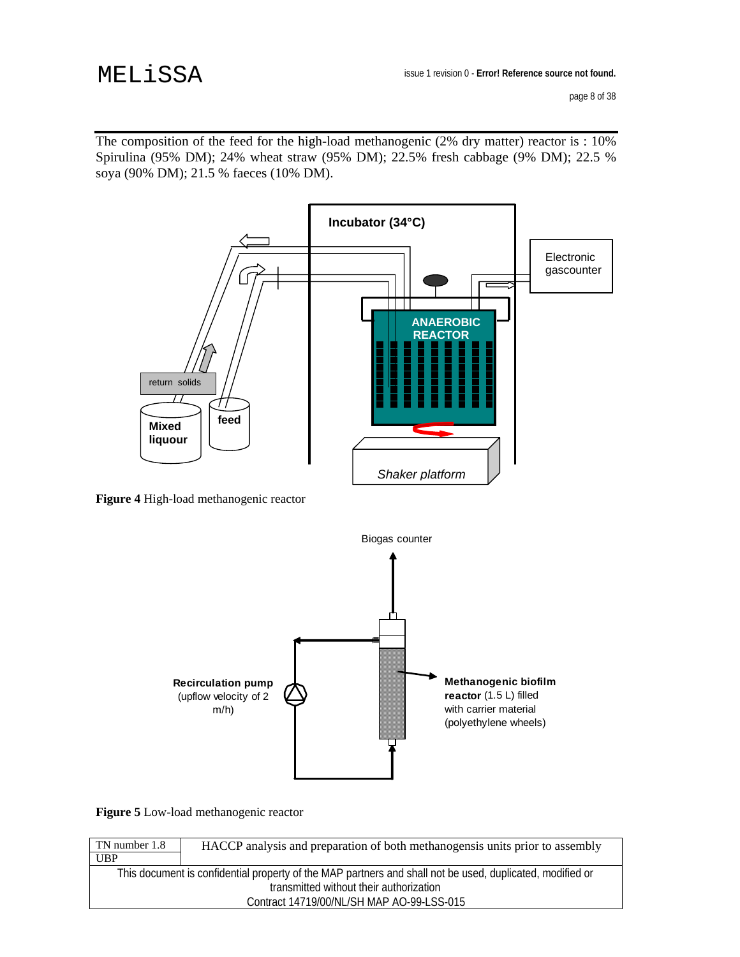The composition of the feed for the high-load methanogenic (2% dry matter) reactor is : 10% Spirulina (95% DM); 24% wheat straw (95% DM); 22.5% fresh cabbage (9% DM); 22.5 % soya (90% DM); 21.5 % faeces (10% DM).



 **Figure 4** High-load methanogenic reactor



**Figure 5** Low-load methanogenic reactor

| TN number 1.8 | HACCP analysis and preparation of both methanogensis units prior to assembly                              |
|---------------|-----------------------------------------------------------------------------------------------------------|
| <b>UBP</b>    |                                                                                                           |
|               | This document is confidential property of the MAP partners and shall not be used, duplicated, modified or |
|               | transmitted without their authorization                                                                   |
|               | Contract 14719/00/NL/SH MAP AO-99-LSS-015                                                                 |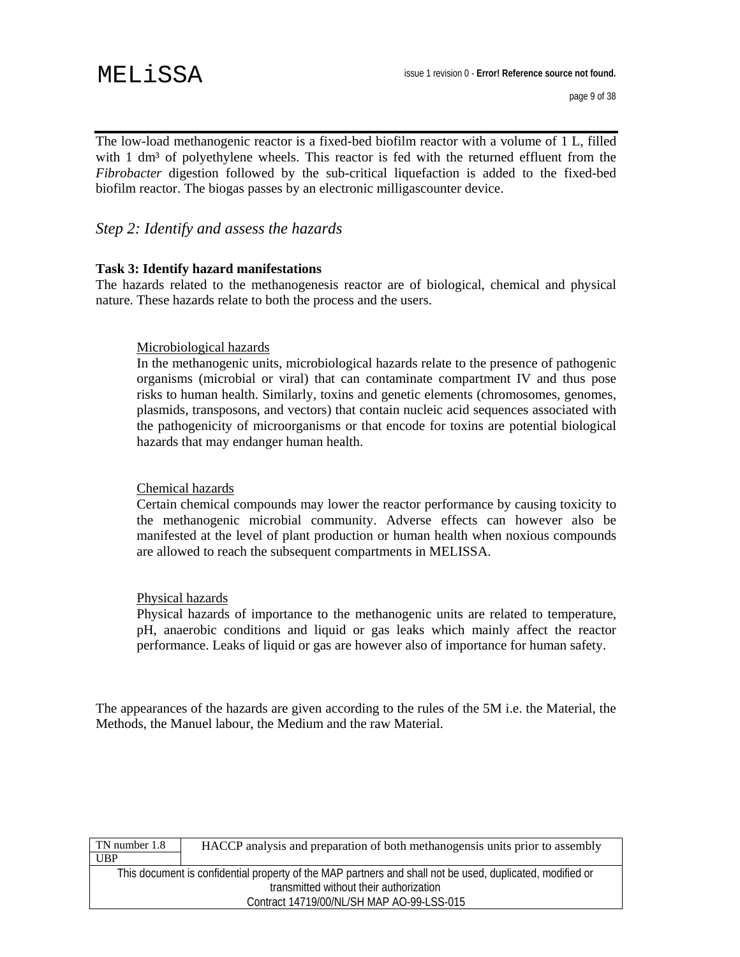The low-load methanogenic reactor is a fixed-bed biofilm reactor with a volume of 1 L, filled with  $1 \text{ dm}^3$  of polyethylene wheels. This reactor is fed with the returned effluent from the *Fibrobacter* digestion followed by the sub-critical liquefaction is added to the fixed-bed biofilm reactor. The biogas passes by an electronic milligascounter device.

### *Step 2: Identify and assess the hazards*

#### **Task 3: Identify hazard manifestations**

The hazards related to the methanogenesis reactor are of biological, chemical and physical nature. These hazards relate to both the process and the users.

#### Microbiological hazards

In the methanogenic units, microbiological hazards relate to the presence of pathogenic organisms (microbial or viral) that can contaminate compartment IV and thus pose risks to human health. Similarly, toxins and genetic elements (chromosomes, genomes, plasmids, transposons, and vectors) that contain nucleic acid sequences associated with the pathogenicity of microorganisms or that encode for toxins are potential biological hazards that may endanger human health.

#### Chemical hazards

Certain chemical compounds may lower the reactor performance by causing toxicity to the methanogenic microbial community. Adverse effects can however also be manifested at the level of plant production or human health when noxious compounds are allowed to reach the subsequent compartments in MELISSA.

#### Physical hazards

Physical hazards of importance to the methanogenic units are related to temperature, pH, anaerobic conditions and liquid or gas leaks which mainly affect the reactor performance. Leaks of liquid or gas are however also of importance for human safety.

The appearances of the hazards are given according to the rules of the 5M i.e. the Material, the Methods, the Manuel labour, the Medium and the raw Material.

| TN number 1.8                                                                                             | HACCP analysis and preparation of both methanogensis units prior to assembly |  |
|-----------------------------------------------------------------------------------------------------------|------------------------------------------------------------------------------|--|
| UBP                                                                                                       |                                                                              |  |
| This document is confidential property of the MAP partners and shall not be used, duplicated, modified or |                                                                              |  |
| transmitted without their authorization                                                                   |                                                                              |  |
| Contract 14719/00/NL/SH MAP AO-99-LSS-015                                                                 |                                                                              |  |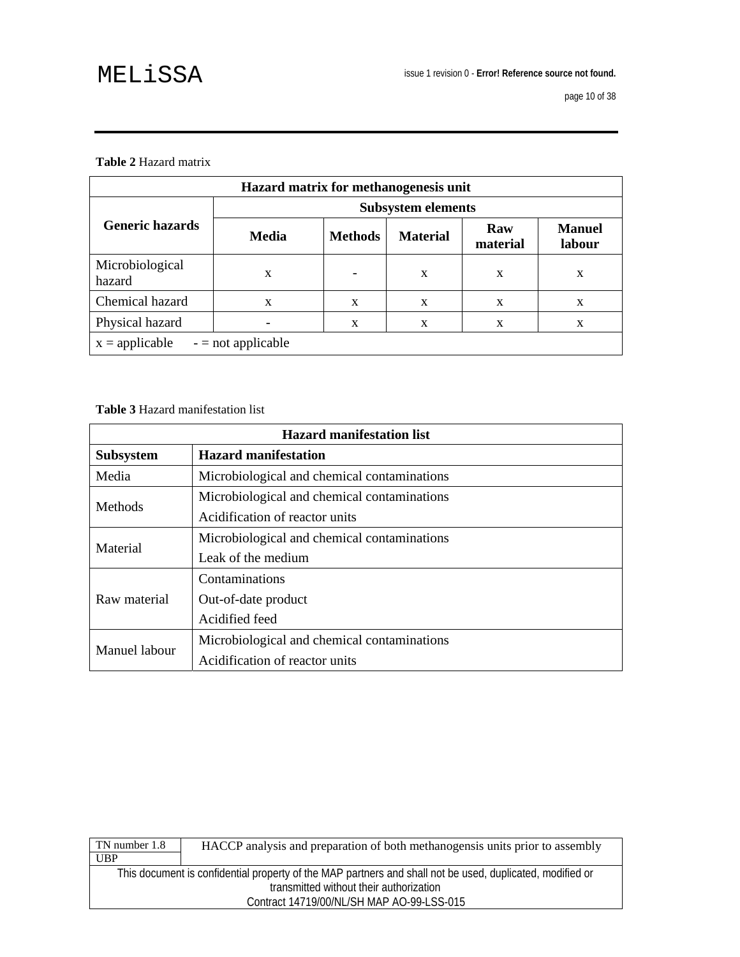#### **Table 2** Hazard matrix

| Hazard matrix for methanogenesis unit    |                           |                |                 |                 |                         |
|------------------------------------------|---------------------------|----------------|-----------------|-----------------|-------------------------|
|                                          | <b>Subsystem elements</b> |                |                 |                 |                         |
| <b>Generic hazards</b>                   | <b>Media</b>              | <b>Methods</b> | <b>Material</b> | Raw<br>material | <b>Manuel</b><br>labour |
| Microbiological<br>hazard                | X                         |                | X               | X               | X                       |
| Chemical hazard                          | X                         | X              | X               | X               | X                       |
| Physical hazard                          |                           | X              | X               | $\mathbf x$     | X                       |
| $x =$ applicable<br>$-$ = not applicable |                           |                |                 |                 |                         |

**Table 3** Hazard manifestation list

| <b>Hazard manifestation list</b> |                                             |  |
|----------------------------------|---------------------------------------------|--|
| <b>Subsystem</b>                 | <b>Hazard manifestation</b>                 |  |
| Media                            | Microbiological and chemical contaminations |  |
|                                  | Microbiological and chemical contaminations |  |
| Methods                          | Acidification of reactor units              |  |
| Material                         | Microbiological and chemical contaminations |  |
|                                  | Leak of the medium                          |  |
|                                  | Contaminations                              |  |
| Raw material                     | Out-of-date product                         |  |
|                                  | Acidified feed                              |  |
| Manuel labour                    | Microbiological and chemical contaminations |  |
|                                  | Acidification of reactor units              |  |

| TN number 1.8                                                                                             | HACCP analysis and preparation of both methanogensis units prior to assembly |  |
|-----------------------------------------------------------------------------------------------------------|------------------------------------------------------------------------------|--|
| <b>UBP</b>                                                                                                |                                                                              |  |
| This document is confidential property of the MAP partners and shall not be used, duplicated, modified or |                                                                              |  |
| transmitted without their authorization                                                                   |                                                                              |  |
|                                                                                                           | Contract 14719/00/NL/SH MAP AO-99-LSS-015                                    |  |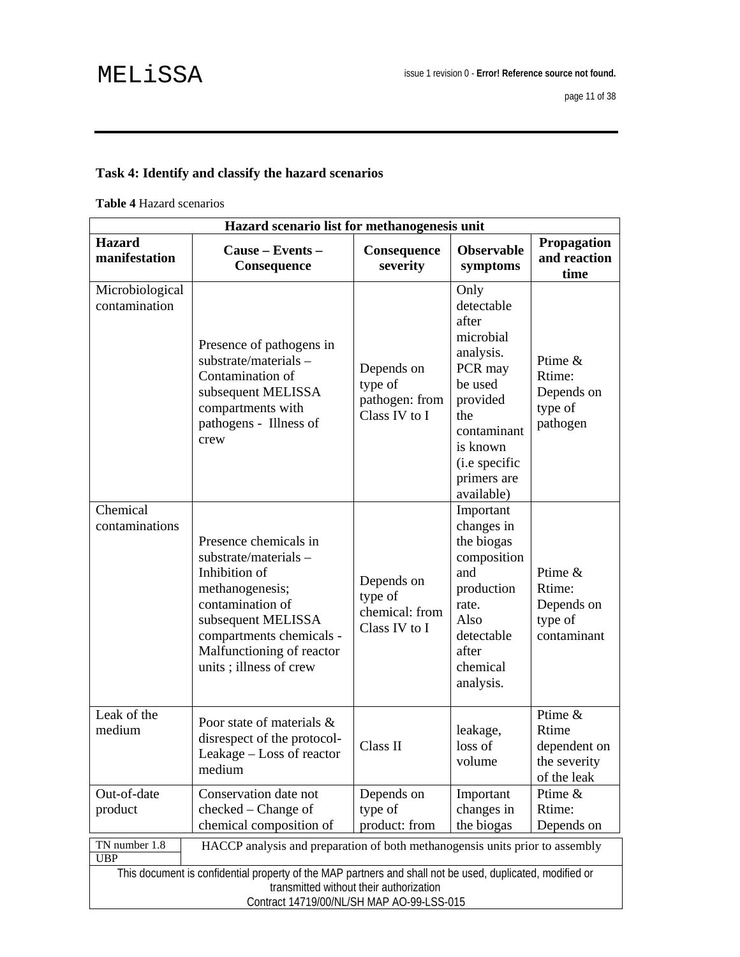## **Task 4: Identify and classify the hazard scenarios**

**Table 4** Hazard scenarios

| Hazard scenario list for methanogenesis unit                                                                                                                                                      |                                                                                                                                                                                                                |                                                          |                                                                                                                                                                         |                                                                 |
|---------------------------------------------------------------------------------------------------------------------------------------------------------------------------------------------------|----------------------------------------------------------------------------------------------------------------------------------------------------------------------------------------------------------------|----------------------------------------------------------|-------------------------------------------------------------------------------------------------------------------------------------------------------------------------|-----------------------------------------------------------------|
| <b>Hazard</b><br>manifestation                                                                                                                                                                    | Cause – Events –<br>Consequence                                                                                                                                                                                | Consequence<br>severity                                  | <b>Observable</b><br>symptoms                                                                                                                                           | <b>Propagation</b><br>and reaction<br>time                      |
| Microbiological<br>contamination                                                                                                                                                                  | Presence of pathogens in<br>substrate/materials-<br>Contamination of<br>subsequent MELISSA<br>compartments with<br>pathogens - Illness of<br>crew                                                              | Depends on<br>type of<br>pathogen: from<br>Class IV to I | Only<br>detectable<br>after<br>microbial<br>analysis.<br>PCR may<br>be used<br>provided<br>the<br>contaminant<br>is known<br>(i.e specific<br>primers are<br>available) | Ptime &<br>Rtime:<br>Depends on<br>type of<br>pathogen          |
| Chemical<br>contaminations                                                                                                                                                                        | Presence chemicals in<br>substrate/materials-<br>Inhibition of<br>methanogenesis;<br>contamination of<br>subsequent MELISSA<br>compartments chemicals -<br>Malfunctioning of reactor<br>units; illness of crew | Depends on<br>type of<br>chemical: from<br>Class IV to I | Important<br>changes in<br>the biogas<br>composition<br>and<br>production<br>rate.<br>Also<br>detectable<br>after<br>chemical<br>analysis.                              | Ptime &<br>Rtime:<br>Depends on<br>type of<br>contaminant       |
| Leak of the<br>medium                                                                                                                                                                             | Poor state of materials &<br>disrespect of the protocol-<br>Leakage – Loss of reactor<br>medium                                                                                                                | Class II                                                 | leakage,<br>loss of<br>volume                                                                                                                                           | Ptime &<br>Rtime<br>dependent on<br>the severity<br>of the leak |
| Out-of-date<br>product                                                                                                                                                                            | Conservation date not<br>checked – Change of<br>chemical composition of                                                                                                                                        | Depends on<br>type of<br>product: from                   | Important<br>changes in<br>the biogas                                                                                                                                   | Ptime &<br>Rtime:<br>Depends on                                 |
| TN number 1.8<br><b>UBP</b>                                                                                                                                                                       | HACCP analysis and preparation of both methanogensis units prior to assembly                                                                                                                                   |                                                          |                                                                                                                                                                         |                                                                 |
| This document is confidential property of the MAP partners and shall not be used, duplicated, modified or<br>transmitted without their authorization<br>Contract 14719/00/NL/SH MAP AO-99-LSS-015 |                                                                                                                                                                                                                |                                                          |                                                                                                                                                                         |                                                                 |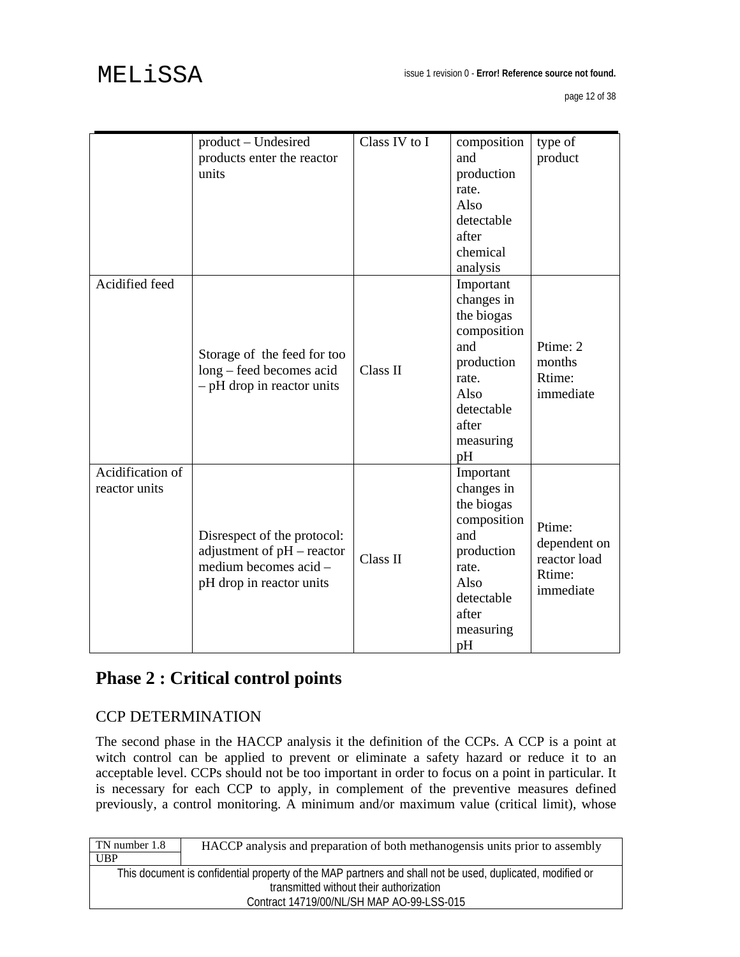|                                   | product - Undesired<br>products enter the reactor<br>units                                                     | Class IV to I | composition<br>and<br>production<br>rate.<br>Also<br>detectable<br>after<br>chemical<br>analysis                                     | type of<br>product                                            |
|-----------------------------------|----------------------------------------------------------------------------------------------------------------|---------------|--------------------------------------------------------------------------------------------------------------------------------------|---------------------------------------------------------------|
| Acidified feed                    | Storage of the feed for too<br>long – feed becomes acid<br>$-$ pH drop in reactor units                        | Class II      | Important<br>changes in<br>the biogas<br>composition<br>and<br>production<br>rate.<br>Also<br>detectable<br>after<br>measuring<br>pH | Ptime: 2<br>months<br>Rtime:<br>immediate                     |
| Acidification of<br>reactor units | Disrespect of the protocol:<br>adjustment of pH - reactor<br>medium becomes acid -<br>pH drop in reactor units | Class II      | Important<br>changes in<br>the biogas<br>composition<br>and<br>production<br>rate.<br>Also<br>detectable<br>after<br>measuring<br>pH | Ptime:<br>dependent on<br>reactor load<br>Rtime:<br>immediate |

## **Phase 2 : Critical control points**

## CCP DETERMINATION

The second phase in the HACCP analysis it the definition of the CCPs. A CCP is a point at witch control can be applied to prevent or eliminate a safety hazard or reduce it to an acceptable level. CCPs should not be too important in order to focus on a point in particular. It is necessary for each CCP to apply, in complement of the preventive measures defined previously, a control monitoring. A minimum and/or maximum value (critical limit), whose

| TN number 1.8                                                                                             | HACCP analysis and preparation of both methanogensis units prior to assembly |  |
|-----------------------------------------------------------------------------------------------------------|------------------------------------------------------------------------------|--|
| <b>UBP</b>                                                                                                |                                                                              |  |
| This document is confidential property of the MAP partners and shall not be used, duplicated, modified or |                                                                              |  |
| transmitted without their authorization                                                                   |                                                                              |  |
|                                                                                                           | Contract 14719/00/NL/SH MAP AO-99-LSS-015                                    |  |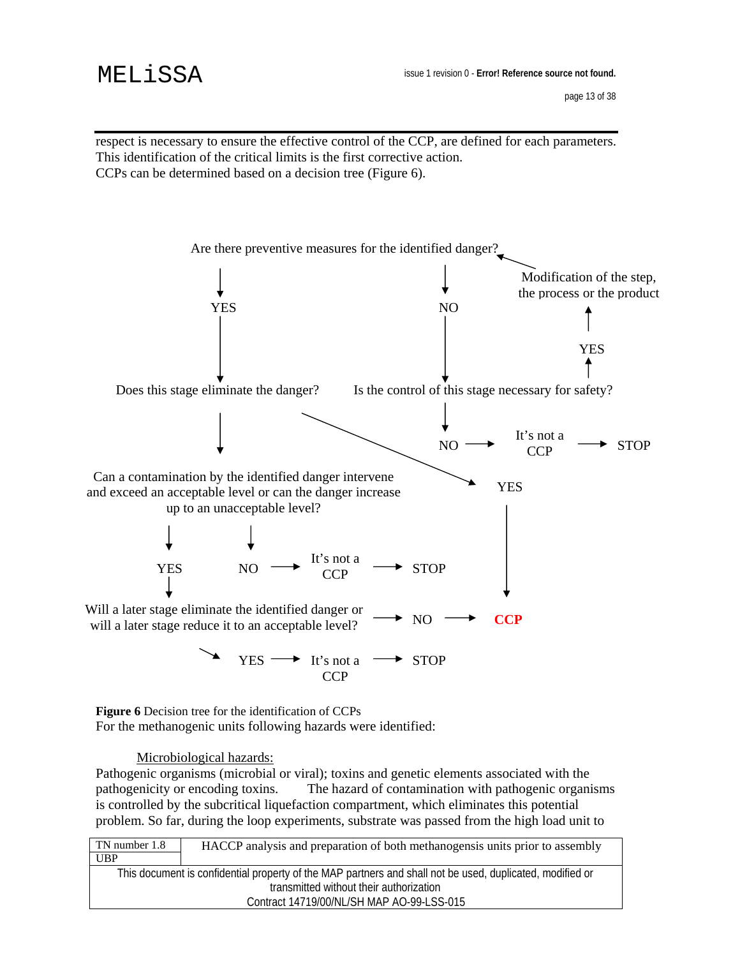page 13 of 38

respect is necessary to ensure the effective control of the CCP, are defined for each parameters. This identification of the critical limits is the first corrective action. CCPs can be determined based on a decision tree (Figure 6).



**Figure 6** Decision tree for the identification of CCPs For the methanogenic units following hazards were identified:

Microbiological hazards:

Pathogenic organisms (microbial or viral); toxins and genetic elements associated with the pathogenicity or encoding toxins. The hazard of contamination with pathogenic organisms is controlled by the subcritical liquefaction compartment, which eliminates this potential problem. So far, during the loop experiments, substrate was passed from the high load unit to

| TN number 1.8                                                                                             | HACCP analysis and preparation of both methanogensis units prior to assembly |  |
|-----------------------------------------------------------------------------------------------------------|------------------------------------------------------------------------------|--|
| UBP                                                                                                       |                                                                              |  |
| This document is confidential property of the MAP partners and shall not be used, duplicated, modified or |                                                                              |  |
| transmitted without their authorization                                                                   |                                                                              |  |
|                                                                                                           | Contract 14719/00/NL/SH MAP AO-99-LSS-015                                    |  |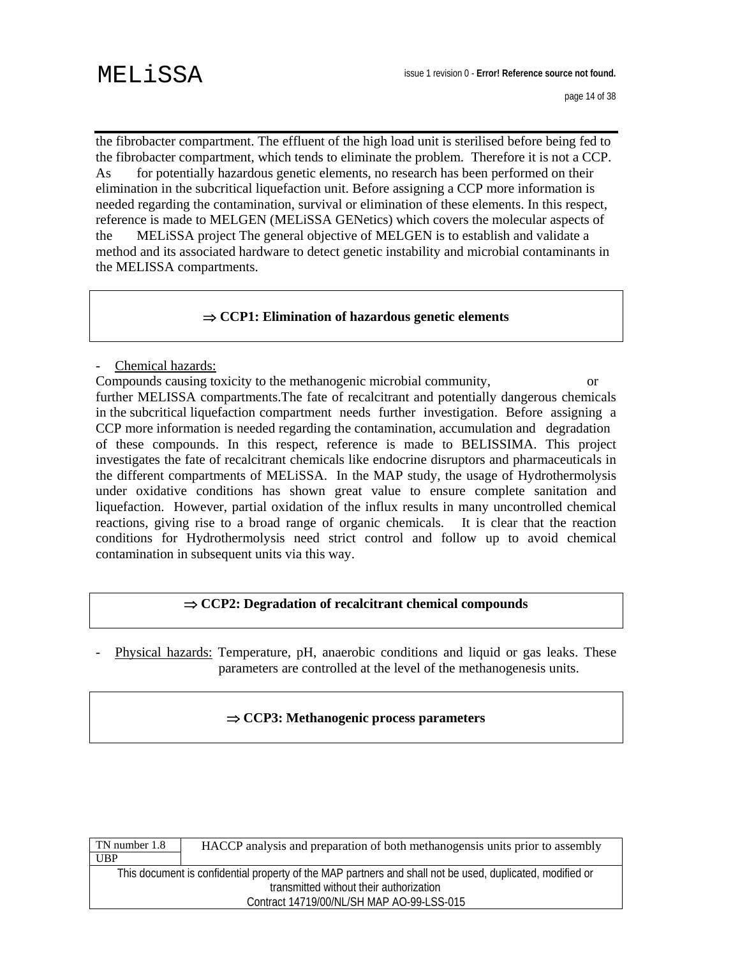the fibrobacter compartment. The effluent of the high load unit is sterilised before being fed to the fibrobacter compartment, which tends to eliminate the problem. Therefore it is not a CCP. As for potentially hazardous genetic elements, no research has been performed on their elimination in the subcritical liquefaction unit. Before assigning a CCP more information is needed regarding the contamination, survival or elimination of these elements. In this respect, reference is made to MELGEN (MELiSSA GENetics) which covers the molecular aspects of the MELiSSA project The general objective of MELGEN is to establish and validate a method and its associated hardware to detect genetic instability and microbial contaminants in the MELISSA compartments.

#### ⇒ **CCP1: Elimination of hazardous genetic elements**

- Chemical hazards:

Compounds causing toxicity to the methanogenic microbial community, or further MELISSA compartments.The fate of recalcitrant and potentially dangerous chemicals in the subcritical liquefaction compartment needs further investigation. Before assigning a CCP more information is needed regarding the contamination, accumulation and degradation of these compounds. In this respect, reference is made to BELISSIMA. This project investigates the fate of recalcitrant chemicals like endocrine disruptors and pharmaceuticals in the different compartments of MELiSSA. In the MAP study, the usage of Hydrothermolysis under oxidative conditions has shown great value to ensure complete sanitation and liquefaction. However, partial oxidation of the influx results in many uncontrolled chemical reactions, giving rise to a broad range of organic chemicals. It is clear that the reaction conditions for Hydrothermolysis need strict control and follow up to avoid chemical contamination in subsequent units via this way.

#### ⇒ **CCP2: Degradation of recalcitrant chemical compounds**

- Physical hazards: Temperature, pH, anaerobic conditions and liquid or gas leaks. These parameters are controlled at the level of the methanogenesis units.

#### ⇒ **CCP3: Methanogenic process parameters**

| TN number 1.8                                                                                             | HACCP analysis and preparation of both methanogensis units prior to assembly |  |
|-----------------------------------------------------------------------------------------------------------|------------------------------------------------------------------------------|--|
| <b>UBP</b>                                                                                                |                                                                              |  |
| This document is confidential property of the MAP partners and shall not be used, duplicated, modified or |                                                                              |  |
| transmitted without their authorization                                                                   |                                                                              |  |
| Contract 14719/00/NL/SH MAP AO-99-LSS-015                                                                 |                                                                              |  |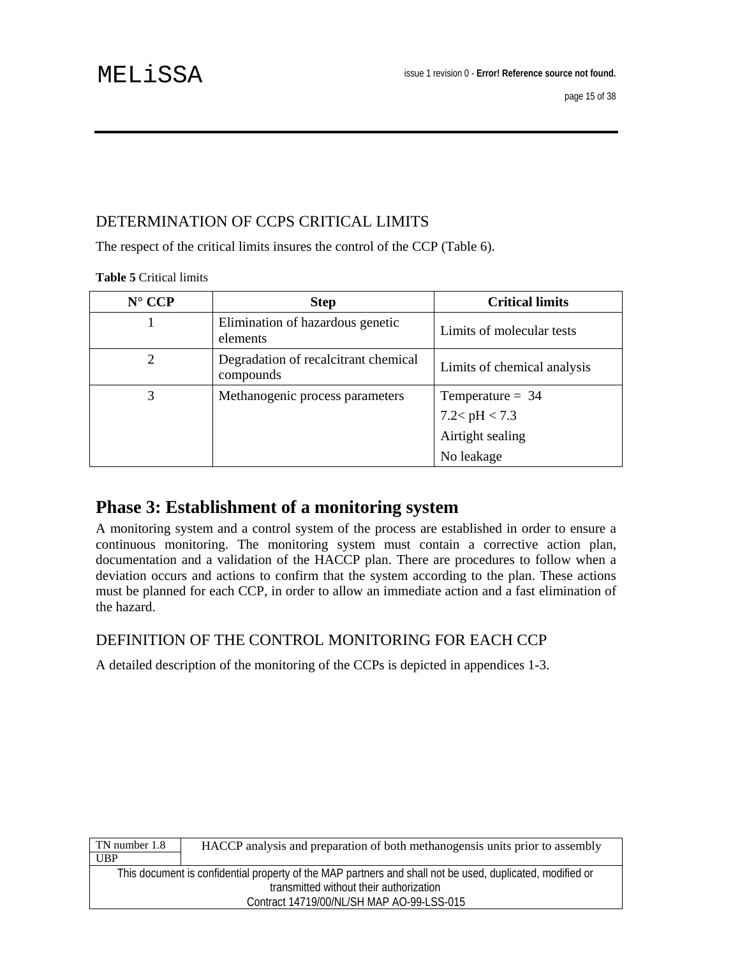## DETERMINATION OF CCPS CRITICAL LIMITS

The respect of the critical limits insures the control of the CCP (Table 6).

#### **Table 5** Critical limits

| $N^{\circ}$ CCP | <b>Step</b>                                       | <b>Critical limits</b>      |
|-----------------|---------------------------------------------------|-----------------------------|
|                 | Elimination of hazardous genetic<br>elements      | Limits of molecular tests   |
| 2               | Degradation of recalcitrant chemical<br>compounds | Limits of chemical analysis |
| 3               | Methanogenic process parameters                   | Temperature $= 34$          |
|                 |                                                   | 7.2<br>< $\rm pH$ < 7.3     |
|                 |                                                   | Airtight sealing            |
|                 |                                                   | No leakage                  |

## **Phase 3: Establishment of a monitoring system**

A monitoring system and a control system of the process are established in order to ensure a continuous monitoring. The monitoring system must contain a corrective action plan, documentation and a validation of the HACCP plan. There are procedures to follow when a deviation occurs and actions to confirm that the system according to the plan. These actions must be planned for each CCP, in order to allow an immediate action and a fast elimination of the hazard.

## DEFINITION OF THE CONTROL MONITORING FOR EACH CCP

A detailed description of the monitoring of the CCPs is depicted in appendices 1-3.

| TN number 1.8                                                                                             | HACCP analysis and preparation of both methanogensis units prior to assembly |  |
|-----------------------------------------------------------------------------------------------------------|------------------------------------------------------------------------------|--|
| <b>UBP</b>                                                                                                |                                                                              |  |
| This document is confidential property of the MAP partners and shall not be used, duplicated, modified or |                                                                              |  |
| transmitted without their authorization                                                                   |                                                                              |  |
| Contract 14719/00/NL/SH MAP AO-99-LSS-015                                                                 |                                                                              |  |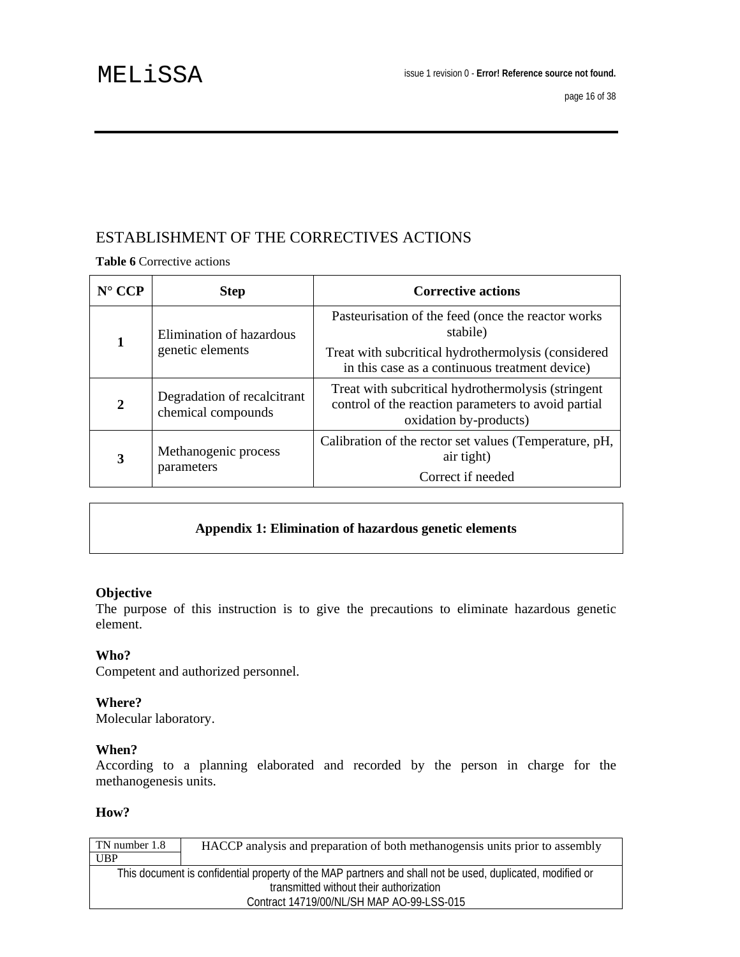## ESTABLISHMENT OF THE CORRECTIVES ACTIONS

**Table 6** Corrective actions

| $N^{\circ}$ CCP | <b>Step</b>                                       | <b>Corrective actions</b>                                                                                                           |
|-----------------|---------------------------------------------------|-------------------------------------------------------------------------------------------------------------------------------------|
|                 | Elimination of hazardous<br>genetic elements      | Pasteurisation of the feed (once the reactor works)<br>stabile)                                                                     |
|                 |                                                   | Treat with subcritical hydrothermolysis (considered<br>in this case as a continuous treatment device)                               |
| $\overline{2}$  | Degradation of recalcitrant<br>chemical compounds | Treat with subcritical hydrothermolysis (stringent<br>control of the reaction parameters to avoid partial<br>oxidation by-products) |
| 3               | Methanogenic process<br>parameters                | Calibration of the rector set values (Temperature, pH,<br>air tight)<br>Correct if needed                                           |

## **Appendix 1: Elimination of hazardous genetic elements**

#### **Objective**

The purpose of this instruction is to give the precautions to eliminate hazardous genetic element.

### **Who?**

Competent and authorized personnel.

### **Where?**

Molecular laboratory.

### **When?**

According to a planning elaborated and recorded by the person in charge for the methanogenesis units.

#### **How?**

| TN number 1.8 | HACCP analysis and preparation of both methanogensis units prior to assembly                              |
|---------------|-----------------------------------------------------------------------------------------------------------|
| UBP           |                                                                                                           |
|               | This document is confidential property of the MAP partners and shall not be used, duplicated, modified or |
|               | transmitted without their authorization                                                                   |
|               | Contract 14719/00/NL/SH MAP AO-99-LSS-015                                                                 |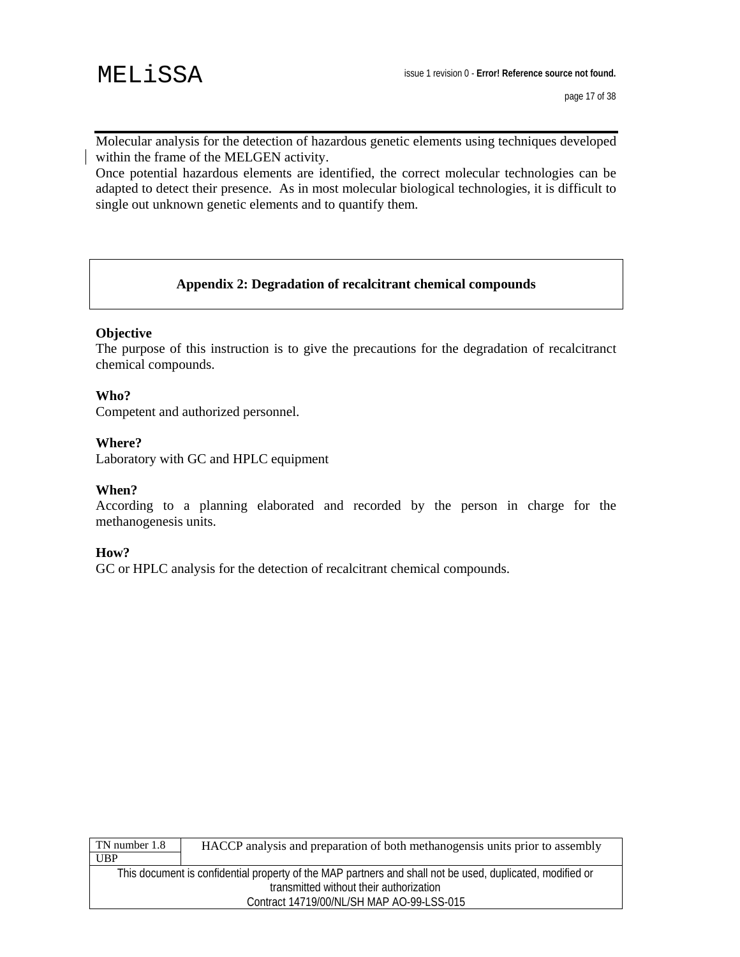page 17 of 38

Molecular analysis for the detection of hazardous genetic elements using techniques developed within the frame of the MELGEN activity.

Once potential hazardous elements are identified, the correct molecular technologies can be adapted to detect their presence. As in most molecular biological technologies, it is difficult to single out unknown genetic elements and to quantify them.

### **Appendix 2: Degradation of recalcitrant chemical compounds**

#### **Objective**

The purpose of this instruction is to give the precautions for the degradation of recalcitranct chemical compounds.

#### **Who?**

Competent and authorized personnel.

#### **Where?**

Laboratory with GC and HPLC equipment

#### **When?**

According to a planning elaborated and recorded by the person in charge for the methanogenesis units.

#### **How?**

GC or HPLC analysis for the detection of recalcitrant chemical compounds.

| TN number 1.8 | HACCP analysis and preparation of both methanogensis units prior to assembly                              |
|---------------|-----------------------------------------------------------------------------------------------------------|
| <b>UBP</b>    |                                                                                                           |
|               | This document is confidential property of the MAP partners and shall not be used, duplicated, modified or |
|               | transmitted without their authorization                                                                   |
|               | Contract 14719/00/NL/SH MAP AO-99-LSS-015                                                                 |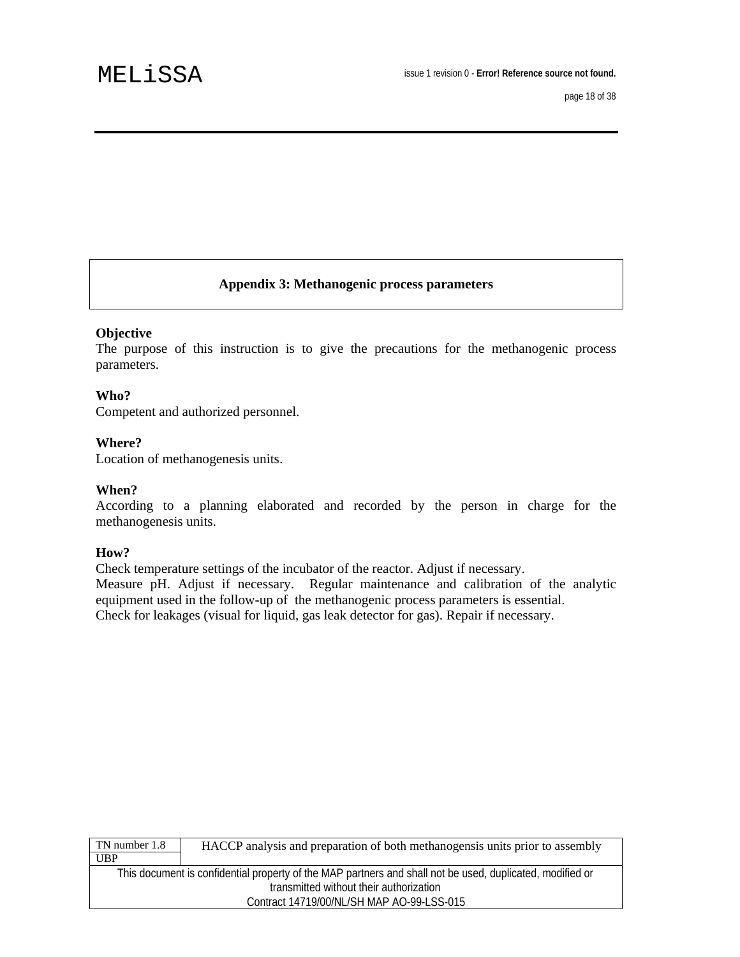### **Appendix 3: Methanogenic process parameters**

#### **Objective**

The purpose of this instruction is to give the precautions for the methanogenic process parameters.

#### **Who?**

Competent and authorized personnel.

#### **Where?**

Location of methanogenesis units.

#### **When?**

According to a planning elaborated and recorded by the person in charge for the methanogenesis units.

#### **How?**

Check temperature settings of the incubator of the reactor. Adjust if necessary. Measure pH. Adjust if necessary. Regular maintenance and calibration of the analytic equipment used in the follow-up of the methanogenic process parameters is essential. Check for leakages (visual for liquid, gas leak detector for gas). Repair if necessary.

| TN number 1.8 | HACCP analysis and preparation of both methanogensis units prior to assembly                              |
|---------------|-----------------------------------------------------------------------------------------------------------|
| <b>UBP</b>    |                                                                                                           |
|               | This document is confidential property of the MAP partners and shall not be used, duplicated, modified or |
|               | transmitted without their authorization                                                                   |
|               | Contract 14719/00/NL/SH MAP AO-99-LSS-015                                                                 |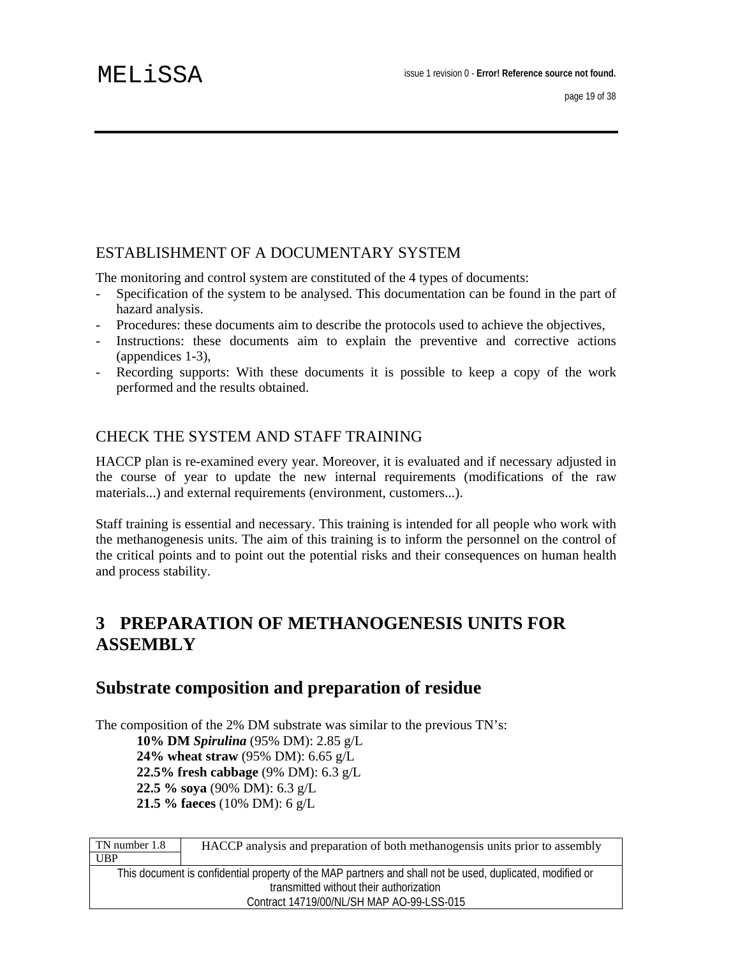## ESTABLISHMENT OF A DOCUMENTARY SYSTEM

The monitoring and control system are constituted of the 4 types of documents:

- Specification of the system to be analysed. This documentation can be found in the part of hazard analysis.
- Procedures: these documents aim to describe the protocols used to achieve the objectives,
- Instructions: these documents aim to explain the preventive and corrective actions (appendices 1-3),
- Recording supports: With these documents it is possible to keep a copy of the work performed and the results obtained.

## CHECK THE SYSTEM AND STAFF TRAINING

HACCP plan is re-examined every year. Moreover, it is evaluated and if necessary adjusted in the course of year to update the new internal requirements (modifications of the raw materials...) and external requirements (environment, customers...).

Staff training is essential and necessary. This training is intended for all people who work with the methanogenesis units. The aim of this training is to inform the personnel on the control of the critical points and to point out the potential risks and their consequences on human health and process stability.

## **3 PREPARATION OF METHANOGENESIS UNITS FOR ASSEMBLY**

## **Substrate composition and preparation of residue**

The composition of the 2% DM substrate was similar to the previous TN's: **10% DM** *Spirulina* (95% DM): 2.85 g/L **24% wheat straw** (95% DM): 6.65 g/L **22.5% fresh cabbage** (9% DM): 6.3 g/L **22.5 % soya** (90% DM): 6.3 g/L **21.5 % faeces** (10% DM): 6 g/L

| TN number 1.8 | HACCP analysis and preparation of both methanogensis units prior to assembly                              |
|---------------|-----------------------------------------------------------------------------------------------------------|
| <b>UBP</b>    |                                                                                                           |
|               | This document is confidential property of the MAP partners and shall not be used, duplicated, modified or |
|               | transmitted without their authorization                                                                   |
|               | Contract 14719/00/NL/SH MAP AO-99-LSS-015                                                                 |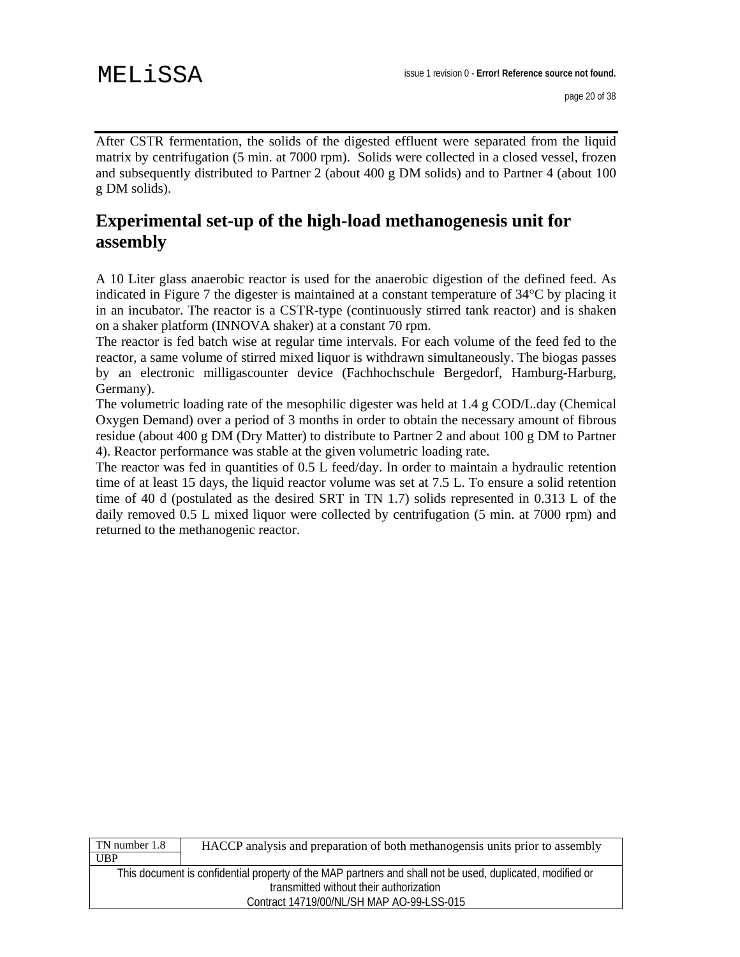After CSTR fermentation, the solids of the digested effluent were separated from the liquid matrix by centrifugation (5 min. at 7000 rpm). Solids were collected in a closed vessel, frozen and subsequently distributed to Partner 2 (about 400 g DM solids) and to Partner 4 (about 100 g DM solids).

## **Experimental set-up of the high-load methanogenesis unit for assembly**

A 10 Liter glass anaerobic reactor is used for the anaerobic digestion of the defined feed. As indicated in Figure 7 the digester is maintained at a constant temperature of 34°C by placing it in an incubator. The reactor is a CSTR-type (continuously stirred tank reactor) and is shaken on a shaker platform (INNOVA shaker) at a constant 70 rpm.

The reactor is fed batch wise at regular time intervals. For each volume of the feed fed to the reactor, a same volume of stirred mixed liquor is withdrawn simultaneously. The biogas passes by an electronic milligascounter device (Fachhochschule Bergedorf, Hamburg-Harburg, Germany).

The volumetric loading rate of the mesophilic digester was held at 1.4 g COD/L.day (Chemical Oxygen Demand) over a period of 3 months in order to obtain the necessary amount of fibrous residue (about 400 g DM (Dry Matter) to distribute to Partner 2 and about 100 g DM to Partner 4). Reactor performance was stable at the given volumetric loading rate.

The reactor was fed in quantities of 0.5 L feed/day. In order to maintain a hydraulic retention time of at least 15 days, the liquid reactor volume was set at 7.5 L. To ensure a solid retention time of 40 d (postulated as the desired SRT in TN 1.7) solids represented in 0.313 L of the daily removed 0.5 L mixed liquor were collected by centrifugation (5 min. at 7000 rpm) and returned to the methanogenic reactor.

| TN number 1.8 | HACCP analysis and preparation of both methanogensis units prior to assembly                              |
|---------------|-----------------------------------------------------------------------------------------------------------|
| <b>UBP</b>    |                                                                                                           |
|               | This document is confidential property of the MAP partners and shall not be used, duplicated, modified or |
|               | transmitted without their authorization                                                                   |
|               | Contract 14719/00/NL/SH MAP AO-99-LSS-015                                                                 |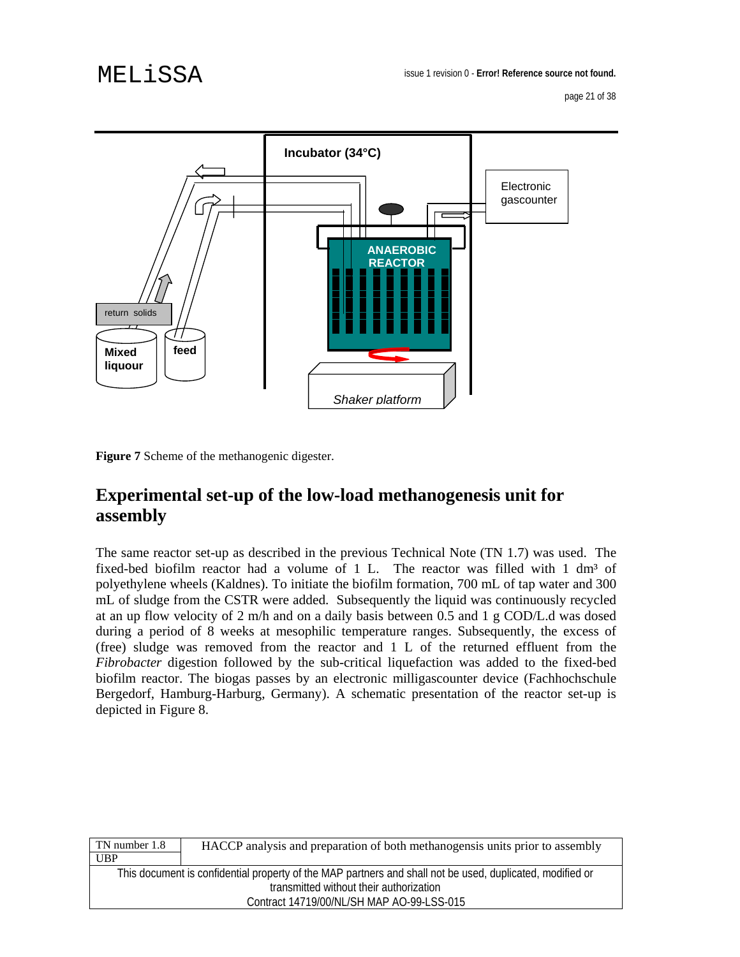page 21 of 38



**Figure 7** Scheme of the methanogenic digester.

## **Experimental set-up of the low-load methanogenesis unit for assembly**

The same reactor set-up as described in the previous Technical Note (TN 1.7) was used. The fixed-bed biofilm reactor had a volume of 1 L. The reactor was filled with  $1 \text{ dm}^3$  of polyethylene wheels (Kaldnes). To initiate the biofilm formation, 700 mL of tap water and 300 mL of sludge from the CSTR were added. Subsequently the liquid was continuously recycled at an up flow velocity of 2 m/h and on a daily basis between 0.5 and 1 g COD/L.d was dosed during a period of 8 weeks at mesophilic temperature ranges. Subsequently, the excess of (free) sludge was removed from the reactor and 1 L of the returned effluent from the *Fibrobacter* digestion followed by the sub-critical liquefaction was added to the fixed-bed biofilm reactor. The biogas passes by an electronic milligascounter device (Fachhochschule Bergedorf, Hamburg-Harburg, Germany). A schematic presentation of the reactor set-up is depicted in Figure 8.

| TN number 1.8<br><b>UBP</b> | HACCP analysis and preparation of both methanogensis units prior to assembly                              |
|-----------------------------|-----------------------------------------------------------------------------------------------------------|
|                             | This document is confidential property of the MAP partners and shall not be used, duplicated, modified or |
|                             | transmitted without their authorization                                                                   |
|                             | Contract 14719/00/NL/SH MAP AO-99-LSS-015                                                                 |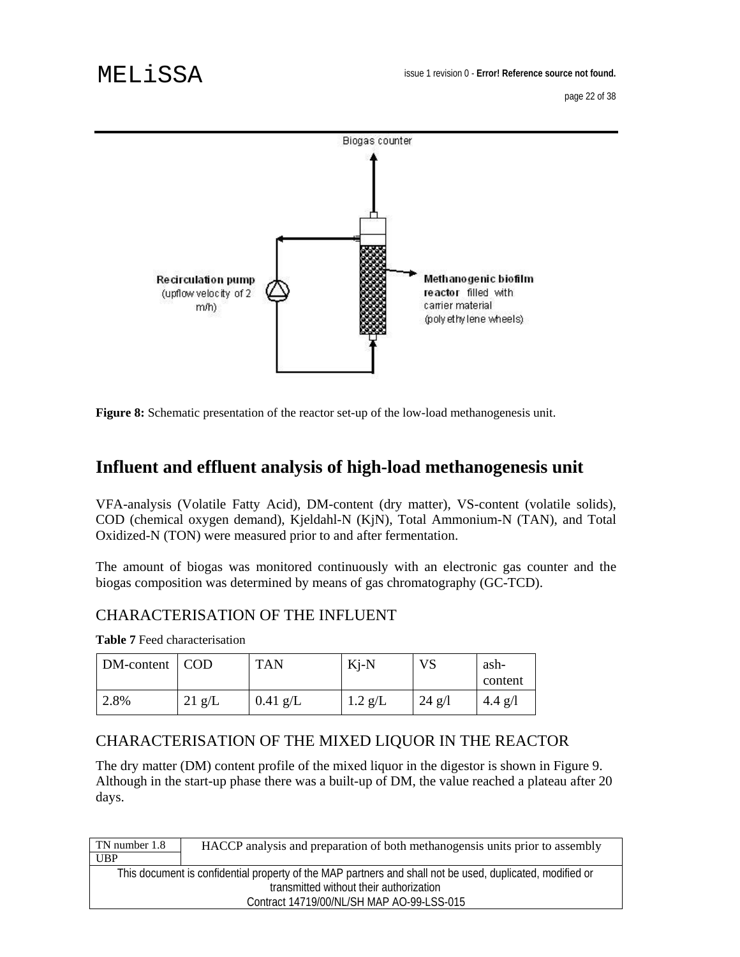page 22 of 38



**Figure 8:** Schematic presentation of the reactor set-up of the low-load methanogenesis unit.

## **Influent and effluent analysis of high-load methanogenesis unit**

VFA-analysis (Volatile Fatty Acid), DM-content (dry matter), VS-content (volatile solids), COD (chemical oxygen demand), Kjeldahl-N (KjN), Total Ammonium-N (TAN), and Total Oxidized-N (TON) were measured prior to and after fermentation.

The amount of biogas was monitored continuously with an electronic gas counter and the biogas composition was determined by means of gas chromatography (GC-TCD).

## CHARACTERISATION OF THE INFLUENT

**Table 7** Feed characterisation

| DM-content | COD              | <b>TAN</b> | $Kj-N$    | <b>VS</b> | ash-      |
|------------|------------------|------------|-----------|-----------|-----------|
|            |                  |            |           |           | content   |
| 2.8%       | $21 \text{ g/L}$ | $0.41$ g/L | $1.2$ g/L | $24$ g/l  | $4.4$ g/l |

## CHARACTERISATION OF THE MIXED LIQUOR IN THE REACTOR

The dry matter (DM) content profile of the mixed liquor in the digestor is shown in Figure 9. Although in the start-up phase there was a built-up of DM, the value reached a plateau after 20 days.

| TN number 1.8 | HACCP analysis and preparation of both methanogensis units prior to assembly                              |
|---------------|-----------------------------------------------------------------------------------------------------------|
| UBP           |                                                                                                           |
|               | This document is confidential property of the MAP partners and shall not be used, duplicated, modified or |
|               | transmitted without their authorization                                                                   |
|               | Contract 14719/00/NL/SH MAP AO-99-LSS-015                                                                 |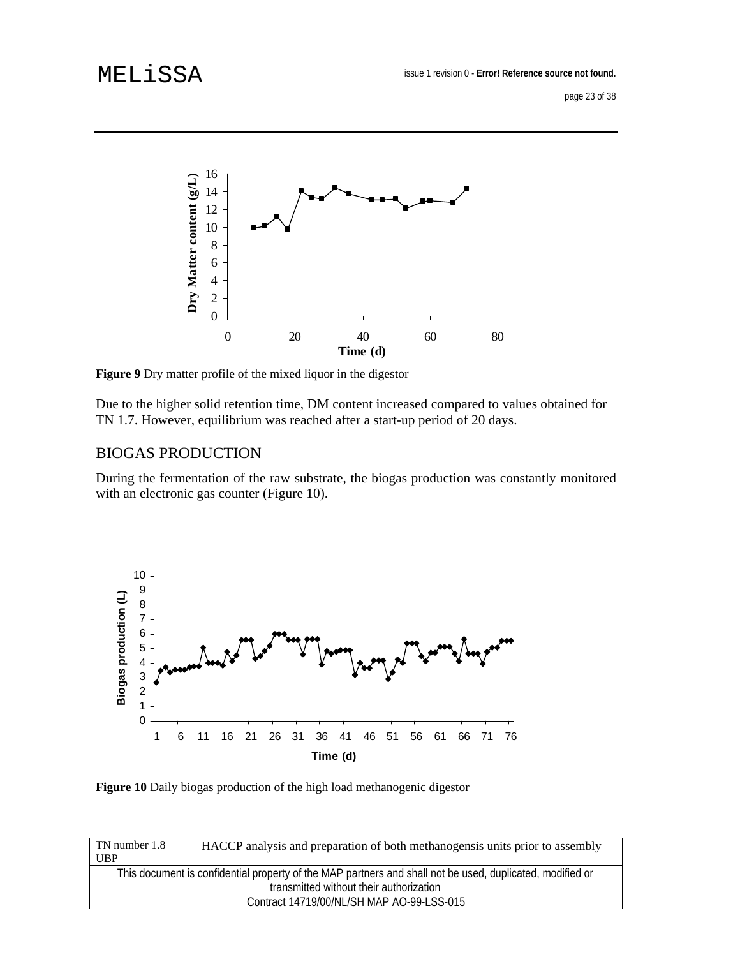# MELiSSA



**Figure 9** Dry matter profile of the mixed liquor in the digestor

Due to the higher solid retention time, DM content increased compared to values obtained for TN 1.7. However, equilibrium was reached after a start-up period of 20 days.

### BIOGAS PRODUCTION

During the fermentation of the raw substrate, the biogas production was constantly monitored with an electronic gas counter (Figure 10).



**Figure 10** Daily biogas production of the high load methanogenic digestor

| TN number 1.8 | HACCP analysis and preparation of both methanogensis units prior to assembly                              |
|---------------|-----------------------------------------------------------------------------------------------------------|
| <b>UBP</b>    |                                                                                                           |
|               | This document is confidential property of the MAP partners and shall not be used, duplicated, modified or |
|               | transmitted without their authorization                                                                   |
|               | Contract 14719/00/NL/SH MAP AO-99-LSS-015                                                                 |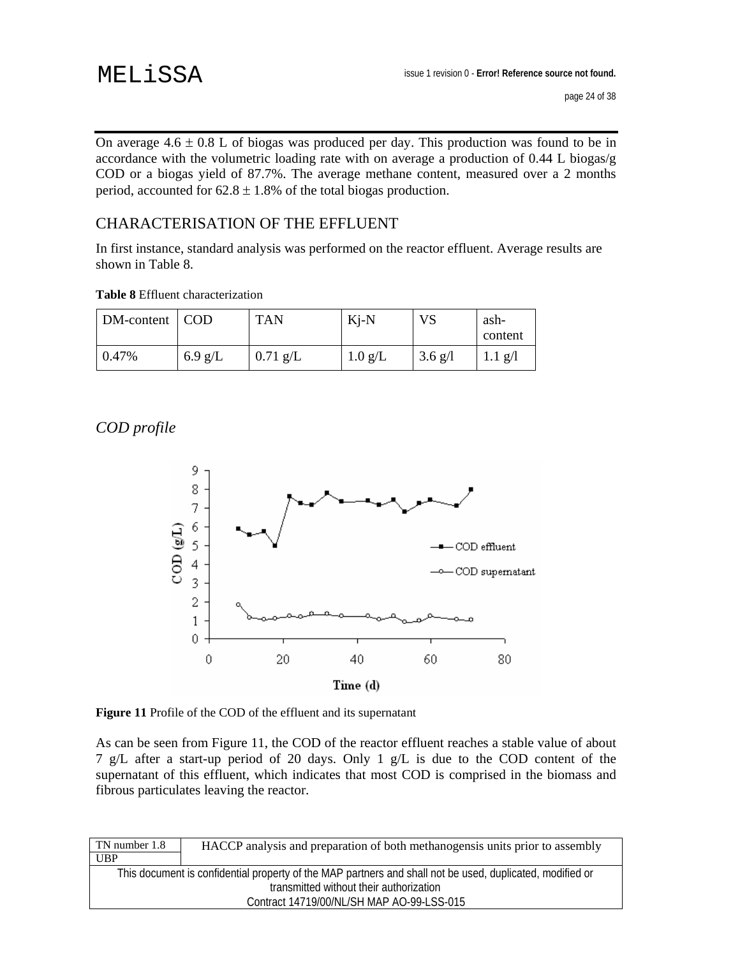# MELiSSA

On average  $4.6 \pm 0.8$  L of biogas was produced per day. This production was found to be in accordance with the volumetric loading rate with on average a production of 0.44 L biogas/g COD or a biogas yield of 87.7%. The average methane content, measured over a 2 months period, accounted for  $62.8 \pm 1.8$ % of the total biogas production.

## CHARACTERISATION OF THE EFFLUENT

In first instance, standard analysis was performed on the reactor effluent. Average results are shown in Table 8.

|  |  | <b>Table 8</b> Effluent characterization |
|--|--|------------------------------------------|
|--|--|------------------------------------------|

| DM-content | COD       | <b>TAN</b> | $Ki-N$            | VS                | ash-<br>content |
|------------|-----------|------------|-------------------|-------------------|-----------------|
| 0.47%      | $6.9$ g/L | $0.71$ g/L | $1.0 \text{ g/L}$ | $3.6 \text{ g}/l$ | $1.1$ g/l       |

## *COD profile*



**Figure 11** Profile of the COD of the effluent and its supernatant

As can be seen from Figure 11, the COD of the reactor effluent reaches a stable value of about 7 g/L after a start-up period of 20 days. Only 1 g/L is due to the COD content of the supernatant of this effluent, which indicates that most COD is comprised in the biomass and fibrous particulates leaving the reactor.

| TN number 1.8 | HACCP analysis and preparation of both methanogensis units prior to assembly                              |
|---------------|-----------------------------------------------------------------------------------------------------------|
| UBP           |                                                                                                           |
|               | This document is confidential property of the MAP partners and shall not be used, duplicated, modified or |
|               | transmitted without their authorization                                                                   |
|               | Contract 14719/00/NL/SH MAP AO-99-LSS-015                                                                 |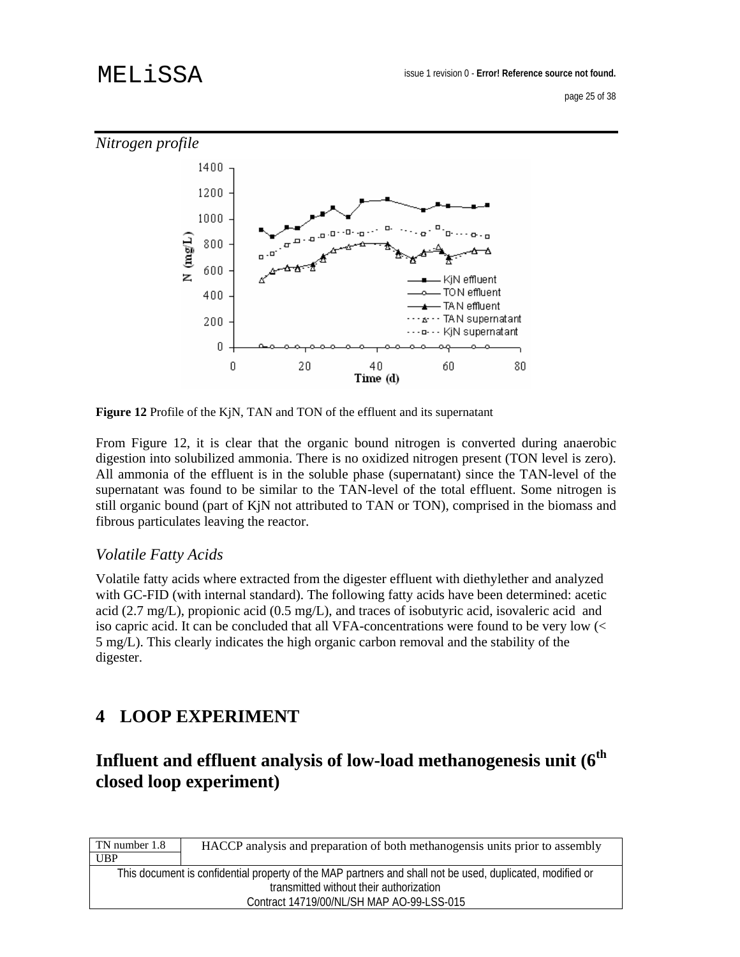

**Figure 12** Profile of the KjN, TAN and TON of the effluent and its supernatant

From Figure 12, it is clear that the organic bound nitrogen is converted during anaerobic digestion into solubilized ammonia. There is no oxidized nitrogen present (TON level is zero). All ammonia of the effluent is in the soluble phase (supernatant) since the TAN-level of the supernatant was found to be similar to the TAN-level of the total effluent. Some nitrogen is still organic bound (part of KjN not attributed to TAN or TON), comprised in the biomass and fibrous particulates leaving the reactor.

## *Volatile Fatty Acids*

Volatile fatty acids where extracted from the digester effluent with diethylether and analyzed with GC-FID (with internal standard). The following fatty acids have been determined: acetic acid (2.7 mg/L), propionic acid (0.5 mg/L), and traces of isobutyric acid, isovaleric acid and iso capric acid. It can be concluded that all VFA-concentrations were found to be very low (< 5 mg/L). This clearly indicates the high organic carbon removal and the stability of the digester.

## **4 LOOP EXPERIMENT**

## **Influent and effluent analysis of low-load methanogenesis unit (6th closed loop experiment)**

| TN number 1.8 | HACCP analysis and preparation of both methanogensis units prior to assembly                              |
|---------------|-----------------------------------------------------------------------------------------------------------|
| <b>UBP</b>    |                                                                                                           |
|               | This document is confidential property of the MAP partners and shall not be used, duplicated, modified or |
|               | transmitted without their authorization                                                                   |
|               | Contract 14719/00/NL/SH MAP AO-99-LSS-015                                                                 |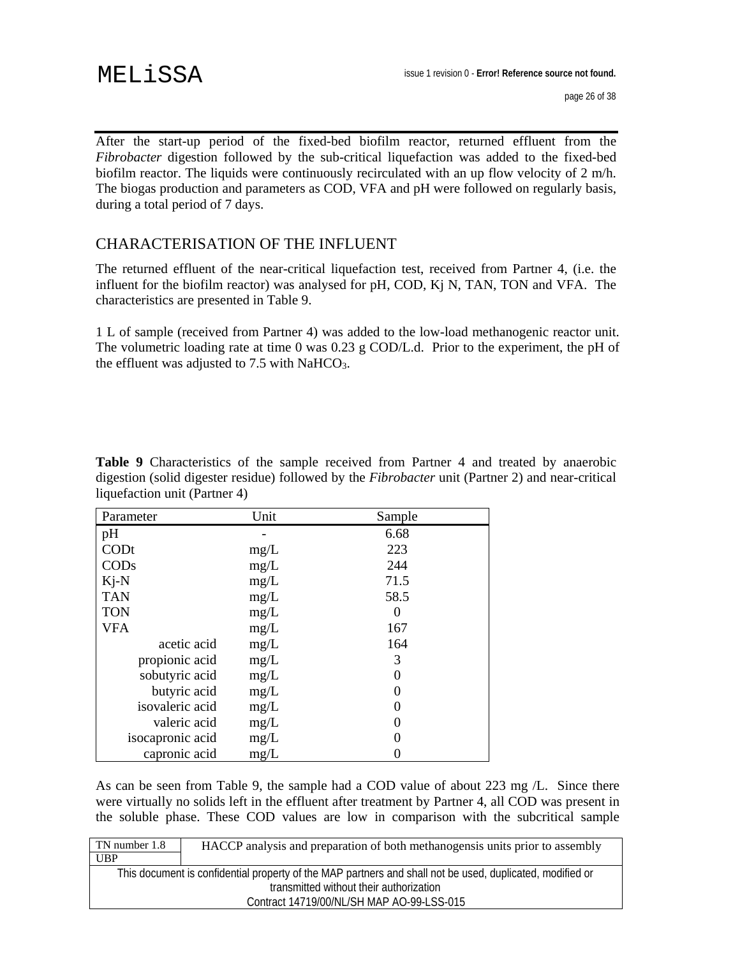After the start-up period of the fixed-bed biofilm reactor, returned effluent from the *Fibrobacter* digestion followed by the sub-critical liquefaction was added to the fixed-bed biofilm reactor. The liquids were continuously recirculated with an up flow velocity of 2 m/h. The biogas production and parameters as COD, VFA and pH were followed on regularly basis, during a total period of 7 days.

## CHARACTERISATION OF THE INFLUENT

The returned effluent of the near-critical liquefaction test, received from Partner 4, (i.e. the influent for the biofilm reactor) was analysed for pH, COD, Kj N, TAN, TON and VFA. The characteristics are presented in Table 9.

1 L of sample (received from Partner 4) was added to the low-load methanogenic reactor unit. The volumetric loading rate at time 0 was 0.23 g COD/L.d. Prior to the experiment, the pH of the effluent was adjusted to 7.5 with NaHCO<sub>3</sub>.

**Table 9** Characteristics of the sample received from Partner 4 and treated by anaerobic digestion (solid digester residue) followed by the *Fibrobacter* unit (Partner 2) and near-critical liquefaction unit (Partner 4)

| Parameter        | Unit | Sample |
|------------------|------|--------|
| pH               |      | 6.68   |
| CODt             | mg/L | 223    |
| COD <sub>s</sub> | mg/L | 244    |
| $Ki-N$           | mg/L | 71.5   |
| <b>TAN</b>       | mg/L | 58.5   |
| <b>TON</b>       | mg/L |        |
| <b>VFA</b>       | mg/L | 167    |
| acetic acid      | mg/L | 164    |
| propionic acid   | mg/L | 3      |
| sobutyric acid   | mg/L |        |
| butyric acid     | mg/L |        |
| isovaleric acid  | mg/L |        |
| valeric acid     | mg/L |        |
| isocapronic acid | mg/L |        |
| capronic acid    | mg/L |        |

As can be seen from Table 9, the sample had a COD value of about 223 mg /L. Since there were virtually no solids left in the effluent after treatment by Partner 4, all COD was present in the soluble phase. These COD values are low in comparison with the subcritical sample

| TN number 1.8 | HACCP analysis and preparation of both methanogensis units prior to assembly                              |
|---------------|-----------------------------------------------------------------------------------------------------------|
| UBP           |                                                                                                           |
|               | This document is confidential property of the MAP partners and shall not be used, duplicated, modified or |
|               | transmitted without their authorization                                                                   |
|               | Contract 14719/00/NL/SH MAP AO-99-LSS-015                                                                 |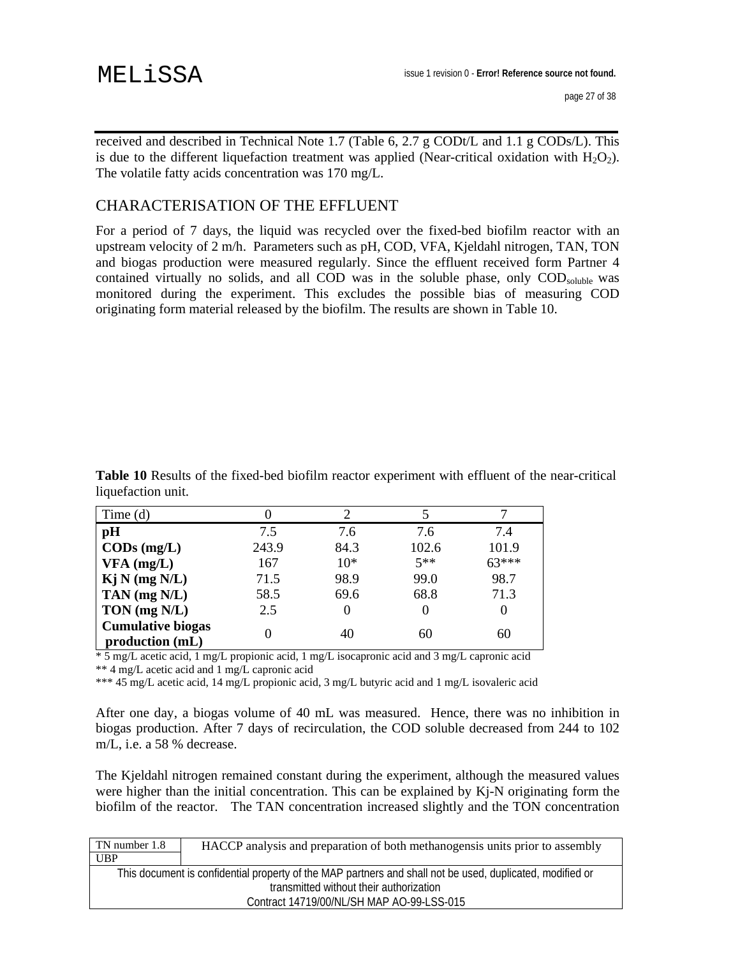received and described in Technical Note 1.7 (Table 6, 2.7 g CODt/L and 1.1 g CODs/L). This is due to the different liquefaction treatment was applied (Near-critical oxidation with  $H_2O_2$ ). The volatile fatty acids concentration was 170 mg/L.

## CHARACTERISATION OF THE EFFLUENT

For a period of 7 days, the liquid was recycled over the fixed-bed biofilm reactor with an upstream velocity of 2 m/h. Parameters such as pH, COD, VFA, Kjeldahl nitrogen, TAN, TON and biogas production were measured regularly. Since the effluent received form Partner 4 contained virtually no solids, and all COD was in the soluble phase, only COD<sub>soluble</sub> was monitored during the experiment. This excludes the possible bias of measuring COD originating form material released by the biofilm. The results are shown in Table 10.

**Table 10** Results of the fixed-bed biofilm reactor experiment with effluent of the near-critical liquefaction unit.

| Time $(d)$                                  |       |       |       |         |
|---------------------------------------------|-------|-------|-------|---------|
| pH                                          | 7.5   | 7.6   | 7.6   | 7.4     |
| $\mathbf{CODs}$ (mg/L)                      | 243.9 | 84.3  | 102.6 | 101.9   |
| $VFA$ (mg/L)                                | 167   | $10*$ | $5**$ | $63***$ |
| Kj N (mg N/L)                               | 71.5  | 98.9  | 99.0  | 98.7    |
| TAN $(mg N/L)$                              | 58.5  | 69.6  | 68.8  | 71.3    |
| TON $(mg N/L)$                              | 2.5   | 0     |       | 0       |
| <b>Cumulative biogas</b><br>production (mL) |       | 40    | 60    | 60      |

\* 5 mg/L acetic acid, 1 mg/L propionic acid, 1 mg/L isocapronic acid and 3 mg/L capronic acid

\*\* 4 mg/L acetic acid and 1 mg/L capronic acid

\*\*\* 45 mg/L acetic acid, 14 mg/L propionic acid, 3 mg/L butyric acid and 1 mg/L isovaleric acid

After one day, a biogas volume of 40 mL was measured. Hence, there was no inhibition in biogas production. After 7 days of recirculation, the COD soluble decreased from 244 to 102 m/L, i.e. a 58 % decrease.

The Kjeldahl nitrogen remained constant during the experiment, although the measured values were higher than the initial concentration. This can be explained by Kj-N originating form the biofilm of the reactor. The TAN concentration increased slightly and the TON concentration

| TN number 1.8 | HACCP analysis and preparation of both methanogensis units prior to assembly                              |
|---------------|-----------------------------------------------------------------------------------------------------------|
| UBP           |                                                                                                           |
|               | This document is confidential property of the MAP partners and shall not be used, duplicated, modified or |
|               | transmitted without their authorization                                                                   |
|               | Contract 14719/00/NL/SH MAP AO-99-LSS-015                                                                 |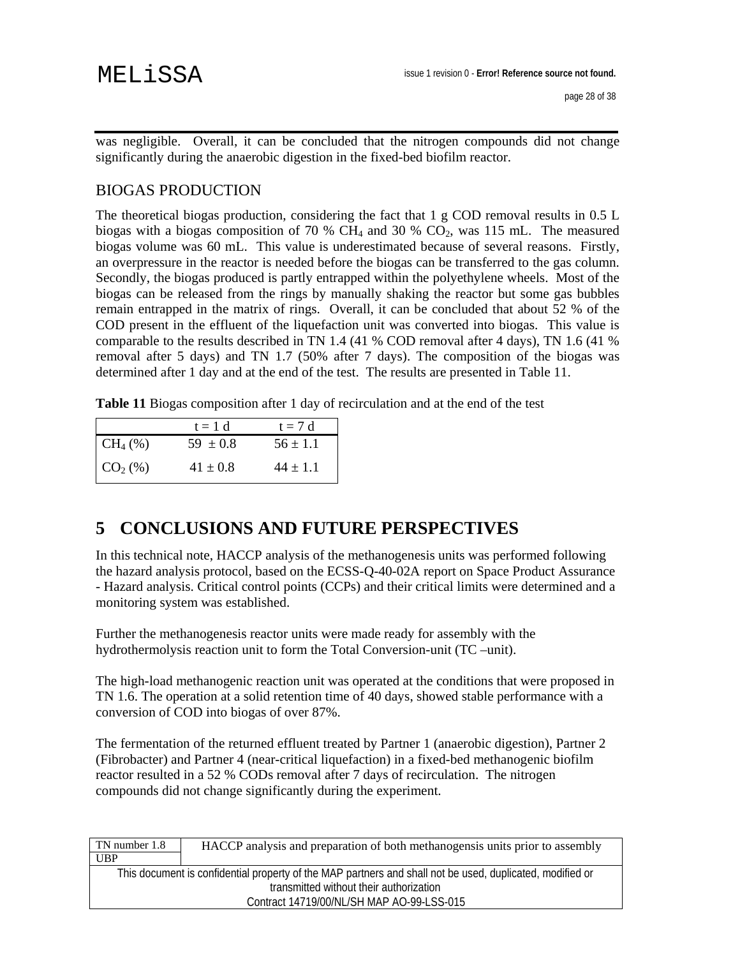was negligible. Overall, it can be concluded that the nitrogen compounds did not change significantly during the anaerobic digestion in the fixed-bed biofilm reactor.

## BIOGAS PRODUCTION

The theoretical biogas production, considering the fact that  $1 \text{ g COD}$  removal results in 0.5 L biogas with a biogas composition of 70 %  $CH_4$  and 30 %  $CO_2$ , was 115 mL. The measured biogas volume was 60 mL. This value is underestimated because of several reasons. Firstly, an overpressure in the reactor is needed before the biogas can be transferred to the gas column. Secondly, the biogas produced is partly entrapped within the polyethylene wheels. Most of the biogas can be released from the rings by manually shaking the reactor but some gas bubbles remain entrapped in the matrix of rings. Overall, it can be concluded that about 52 % of the COD present in the effluent of the liquefaction unit was converted into biogas. This value is comparable to the results described in TN 1.4 (41 % COD removal after 4 days), TN 1.6 (41 % removal after 5 days) and TN 1.7 (50% after 7 days). The composition of the biogas was determined after 1 day and at the end of the test. The results are presented in Table 11.

**Table 11** Biogas composition after 1 day of recirculation and at the end of the test

|            | $t = 1 d$    | $t = 7 d$    |
|------------|--------------|--------------|
| $CH_4(\%)$ | $59 \pm 0.8$ | $56 \pm 1.1$ |
| $CO2(\%)$  | $41 \pm 0.8$ | $44 \pm 1.1$ |

## **5 CONCLUSIONS AND FUTURE PERSPECTIVES**

In this technical note, HACCP analysis of the methanogenesis units was performed following the hazard analysis protocol, based on the ECSS-Q-40-02A report on Space Product Assurance - Hazard analysis. Critical control points (CCPs) and their critical limits were determined and a monitoring system was established.

Further the methanogenesis reactor units were made ready for assembly with the hydrothermolysis reaction unit to form the Total Conversion-unit (TC –unit).

The high-load methanogenic reaction unit was operated at the conditions that were proposed in TN 1.6. The operation at a solid retention time of 40 days, showed stable performance with a conversion of COD into biogas of over 87%.

The fermentation of the returned effluent treated by Partner 1 (anaerobic digestion), Partner 2 (Fibrobacter) and Partner 4 (near-critical liquefaction) in a fixed-bed methanogenic biofilm reactor resulted in a 52 % CODs removal after 7 days of recirculation. The nitrogen compounds did not change significantly during the experiment.

| TN number 1.8 | HACCP analysis and preparation of both methanogensis units prior to assembly                              |
|---------------|-----------------------------------------------------------------------------------------------------------|
| <b>UBP</b>    |                                                                                                           |
|               | This document is confidential property of the MAP partners and shall not be used, duplicated, modified or |
|               | transmitted without their authorization                                                                   |
|               | Contract 14719/00/NL/SH MAP AO-99-LSS-015                                                                 |